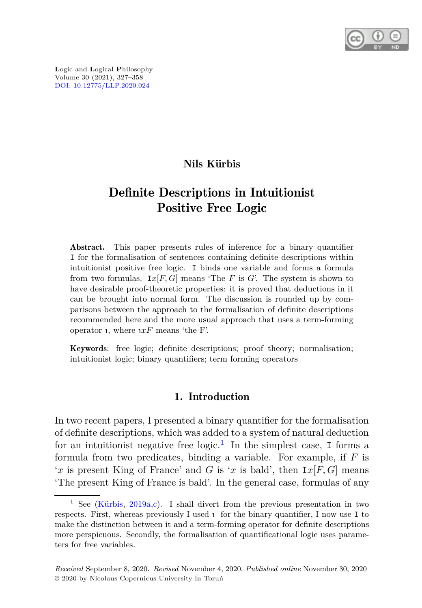

**L**ogic and **L**ogical **P**hilosophy Volume 30 (2021), 327–358 [DOI: 10.12775/LLP.2020.024](http://dx.doi.org/10.12775/LLP.2020.024)

## Nils Kürbis

# Definite Descriptions in Intuitionist Positive Free Logic

Abstract. This paper presents rules of inference for a binary quantifier I for the formalisation of sentences containing definite descriptions within intuitionist positive free logic. I binds one variable and forms a formula from two formulas.  $I\mathscr{X}[F,G]$  means 'The *F* is *G*'. The system is shown to have desirable proof-theoretic properties: it is proved that deductions in it can be brought into normal form. The discussion is rounded up by comparisons between the approach to the formalisation of definite descriptions recommended here and the more usual approach that uses a term-forming operator 1, where  $xF$  means 'the F'.

Keywords: free logic; definite descriptions; proof theory; normalisation; intuitionist logic; binary quantifiers; term forming operators

### 1. Introduction

In two recent papers, I presented a binary quantifier for the formalisation of definite descriptions, which was added to a system of natural deduction for an intuitionist negative free  $logic<sup>1</sup>$  $logic<sup>1</sup>$  $logic<sup>1</sup>$ . In the simplest case, I forms a formula from two predicates, binding a variable. For example, if *F* is '*x* is present King of France' and *G* is '*x* is bald', then  $I x[F, G]$  means 'The present King of France is bald'. In the general case, formulas of any

<span id="page-0-0"></span><sup>&</sup>lt;sup>1</sup> See [\(Kürbis,](#page-30-0) [2019a](#page-30-0)[,c\)](#page-30-1). I shall divert from the previous presentation in two respects. First, whereas previously I used 1 for the binary quantifier, I now use I to make the distinction between it and a term-forming operator for definite descriptions more perspicuous. Secondly, the formalisation of quantificational logic uses parameters for free variables.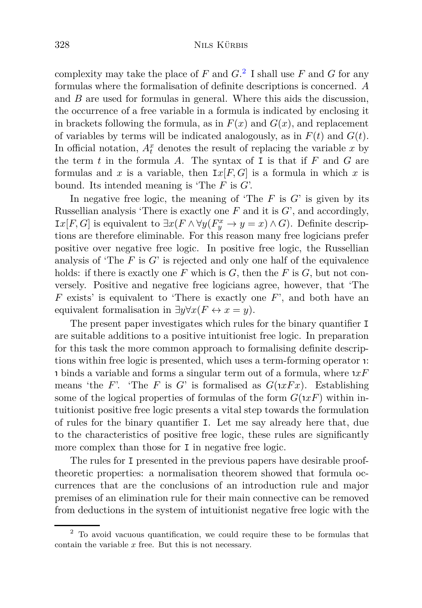complexity may take the place of  $F$  and  $G$ .<sup>[2](#page-1-0)</sup> I shall use  $F$  and  $G$  for any formulas where the formalisation of definite descriptions is concerned. *A* and *B* are used for formulas in general. Where this aids the discussion, the occurrence of a free variable in a formula is indicated by enclosing it in brackets following the formula, as in  $F(x)$  and  $G(x)$ , and replacement of variables by terms will be indicated analogously, as in  $F(t)$  and  $G(t)$ . In official notation,  $A_t^x$  denotes the result of replacing the variable  $x$  by the term  $t$  in the formula  $A$ . The syntax of I is that if  $F$  and  $G$  are formulas and x is a variable, then  $I_x[F, G]$  is a formula in which x is bound. Its intended meaning is 'The *F* is *G*'.

In negative free logic, the meaning of 'The  $F$  is  $G'$  is given by its Russellian analysis 'There is exactly one *F* and it is *G*', and accordingly, *Ix*[*F, G*] is equivalent to  $\exists x$ (*F* ∧  $\forall y$ ( $F_y^x$  →  $y = x$ ) ∧ *G*). Definite descriptions are therefore eliminable. For this reason many free logicians prefer positive over negative free logic. In positive free logic, the Russellian analysis of 'The *F* is *G*' is rejected and only one half of the equivalence holds: if there is exactly one *F* which is *G*, then the *F* is *G*, but not conversely. Positive and negative free logicians agree, however, that 'The *F* exists' is equivalent to 'There is exactly one *F*', and both have an equivalent formalisation in  $\exists y \forall x (F \leftrightarrow x = y)$ .

The present paper investigates which rules for the binary quantifier I are suitable additions to a positive intuitionist free logic. In preparation for this task the more common approach to formalising definite descriptions within free logic is presented, which uses a term-forming operator <sup>ι</sup> : ι binds a variable and forms a singular term out of a formula, where <sup>ι</sup> *xF* means 'the *F*'. 'The *F* is *G*' is formalised as  $G(xFx)$ . Establishing some of the logical properties of formulas of the form  $G(xF)$  within intuitionist positive free logic presents a vital step towards the formulation of rules for the binary quantifier I. Let me say already here that, due to the characteristics of positive free logic, these rules are significantly more complex than those for I in negative free logic.

The rules for I presented in the previous papers have desirable prooftheoretic properties: a normalisation theorem showed that formula occurrences that are the conclusions of an introduction rule and major premises of an elimination rule for their main connective can be removed from deductions in the system of intuitionist negative free logic with the

<span id="page-1-0"></span><sup>2</sup> To avoid vacuous quantification, we could require these to be formulas that contain the variable *x* free. But this is not necessary.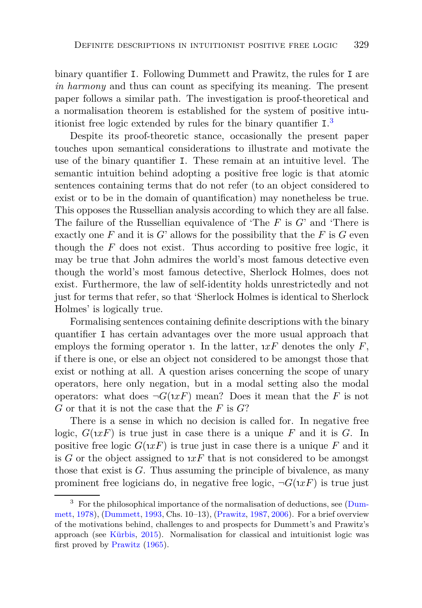binary quantifier I. Following Dummett and Prawitz, the rules for I are *in harmony* and thus can count as specifying its meaning. The present paper follows a similar path. The investigation is proof-theoretical and a normalisation theorem is established for the system of positive intuitionist free logic extended by rules for the binary quantifier I. [3](#page-2-0)

Despite its proof-theoretic stance, occasionally the present paper touches upon semantical considerations to illustrate and motivate the use of the binary quantifier I. These remain at an intuitive level. The semantic intuition behind adopting a positive free logic is that atomic sentences containing terms that do not refer (to an object considered to exist or to be in the domain of quantification) may nonetheless be true. This opposes the Russellian analysis according to which they are all false. The failure of the Russellian equivalence of 'The *F* is *G*' and 'There is exactly one  $F$  and it is  $G'$  allows for the possibility that the  $F$  is  $G$  even though the *F* does not exist. Thus according to positive free logic, it may be true that John admires the world's most famous detective even though the world's most famous detective, Sherlock Holmes, does not exist. Furthermore, the law of self-identity holds unrestrictedly and not just for terms that refer, so that 'Sherlock Holmes is identical to Sherlock Holmes' is logically true.

Formalising sentences containing definite descriptions with the binary quantifier I has certain advantages over the more usual approach that employs the forming operator **1**. In the latter,  $xF$  denotes the only  $F$ , if there is one, or else an object not considered to be amongst those that exist or nothing at all. A question arises concerning the scope of unary operators, here only negation, but in a modal setting also the modal operators: what does  $\neg G(\mathfrak{n} x F)$  mean? Does it mean that the *F* is not *G* or that it is not the case that the *F* is *G*?

There is a sense in which no decision is called for. In negative free logic,  $G(xF)$  is true just in case there is a unique  $F$  and it is  $G$ . In positive free logic  $G(xF)$  is true just in case there is a unique F and it is  $G$  or the object assigned to  $xF$  that is not considered to be amongst those that exist is *G*. Thus assuming the principle of bivalence, as many prominent free logicians do, in negative free logic,  $\neg G(\mathfrak{n} x F)$  is true just

<span id="page-2-0"></span><sup>&</sup>lt;sup>3</sup> [For the philosophical importance of the normalisation of deductions, see \(](#page-29-0)Dummett, [1978](#page-29-0)), [\(Dummett,](#page-29-1) [1993,](#page-29-1) Chs. 10–13), [\(Prawitz,](#page-30-2) [1987,](#page-30-2) [2006](#page-31-0)). For a brief overview of the motivations behind, challenges to and prospects for Dummett's and Prawitz's approach (see [Kürbis](#page-30-3), [2015](#page-30-3)). Normalisation for classical and intuitionist logic was first proved by [Prawitz](#page-30-4) [\(1965\)](#page-30-4).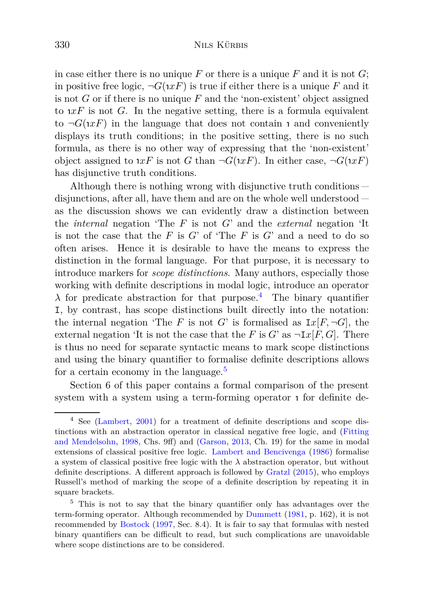in case either there is no unique  $F$  or there is a unique  $F$  and it is not  $G$ ; in positive free logic,  $\neg G(\iota x F)$  is true if either there is a unique *F* and it is not *G* or if there is no unique *F* and the 'non-existent' object assigned to  $xF$  is not *G*. In the negative setting, there is a formula equivalent to  $\neg G(xF)$  in the language that does not contain **1** and conveniently displays its truth conditions; in the positive setting, there is no such formula, as there is no other way of expressing that the 'non-existent' object assigned to  $xF$  is not *G* than  $\neg G(xF)$ . In either case,  $\neg G(xF)$ has disjunctive truth conditions.

Although there is nothing wrong with disjunctive truth conditions disjunctions, after all, have them and are on the whole well understood as the discussion shows we can evidently draw a distinction between the *internal* negation 'The *F* is not *G*' and the *external* negation 'It is not the case that the  $F$  is  $G'$  of 'The  $F$  is  $G'$  and a need to do so often arises. Hence it is desirable to have the means to express the distinction in the formal language. For that purpose, it is necessary to introduce markers for *scope distinctions*. Many authors, especially those working with definite descriptions in modal logic, introduce an operator  $λ$  for predicate abstraction for that purpose.<sup>[4](#page-3-0)</sup> The binary quantifier I, by contrast, has scope distinctions built directly into the notation: the internal negation 'The *F* is not *G*' is formalised as  $I\!x[F, \neg G]$ , the external negation 'It is not the case that the *F* is *G*' as  $\neg \text{I}x[F, G]$ . There is thus no need for separate syntactic means to mark scope distinctions and using the binary quantifier to formalise definite descriptions allows for a certain economy in the language.<sup>[5](#page-3-1)</sup>

Section 6 of this paper contains a formal comparison of the present system with a system using a term-forming operator **1** for definite de-

<span id="page-3-0"></span><sup>4</sup> See [\(Lambert,](#page-30-5) [2001\)](#page-30-5) for a treatment of definite descriptions and scope distinctions with a[n abstraction operator in classical negative free logic, and \(](#page-29-2)Fitting and Mendelsohn, [1998](#page-29-2), Chs. 9ff) and [\(Garson](#page-29-3), [2013](#page-29-3), Ch. 19) for the same in modal extensions of classical positive free logic. [Lambert and Bencivenga](#page-30-6) [\(1986\)](#page-30-6) formalise a system of classical positive free logic with the  $\lambda$  abstraction operator, but without definite descriptions. A different approach is followed by [Gratzl](#page-29-4) [\(2015\)](#page-29-4), who employs Russell's method of marking the scope of a definite description by repeating it in square brackets.

<span id="page-3-1"></span><sup>5</sup> This is not to say that the binary quantifier only has advantages over the term-forming operator. Although recommended by [Dummett](#page-29-5) [\(1981,](#page-29-5) p. 162), it is not recommended by [Bostock](#page-29-6) [\(1997](#page-29-6), Sec. 8.4). It is fair to say that formulas with nested binary quantifiers can be difficult to read, but such complications are unavoidable where scope distinctions are to be considered.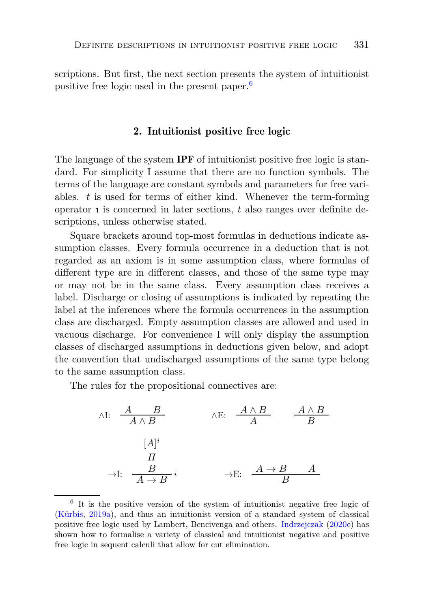scriptions. But first, the next section presents the system of intuitionist positive free logic used in the present paper.[6](#page-4-0)

#### 2. Intuitionist positive free logic

The language of the system **IPF** of intuitionist positive free logic is standard. For simplicity I assume that there are no function symbols. The terms of the language are constant symbols and parameters for free variables. *t* is used for terms of either kind. Whenever the term-forming operator <sup>ι</sup> is concerned in later sections, *t* also ranges over definite descriptions, unless otherwise stated.

Square brackets around top-most formulas in deductions indicate assumption classes. Every formula occurrence in a deduction that is not regarded as an axiom is in some assumption class, where formulas of different type are in different classes, and those of the same type may or may not be in the same class. Every assumption class receives a label. Discharge or closing of assumptions is indicated by repeating the label at the inferences where the formula occurrences in the assumption class are discharged. Empty assumption classes are allowed and used in vacuous discharge. For convenience I will only display the assumption classes of discharged assumptions in deductions given below, and adopt the convention that undischarged assumptions of the same type belong to the same assumption class.

The rules for the propositional connectives are:

$$
\begin{array}{ccc}\n\wedge I: & \xrightarrow{A} & B \\
 & A \wedge B & \\
 & [A]^i & \\
 & \xrightarrow{H} & \\
 & A \rightarrow B & \\
 & & \xrightarrow{B}\n\end{array}\n\qquad\n\wedge E: \xrightarrow{A \wedge B} \xrightarrow{A \wedge B} \xrightarrow{A \wedge B} \xrightarrow{A}
$$

<span id="page-4-0"></span><sup>&</sup>lt;sup>6</sup> It is the positive version of the system of intuitionist negative free logic of [\(Kürbis](#page-30-0), [2019a](#page-30-0)), and thus an intuitionist version of a standard system of classical positive free logic used by Lambert, Bencivenga and others. [Indrzejczak](#page-30-7) [\(2020c](#page-30-7)) has shown how to formalise a variety of classical and intuitionist negative and positive free logic in sequent calculi that allow for cut elimination.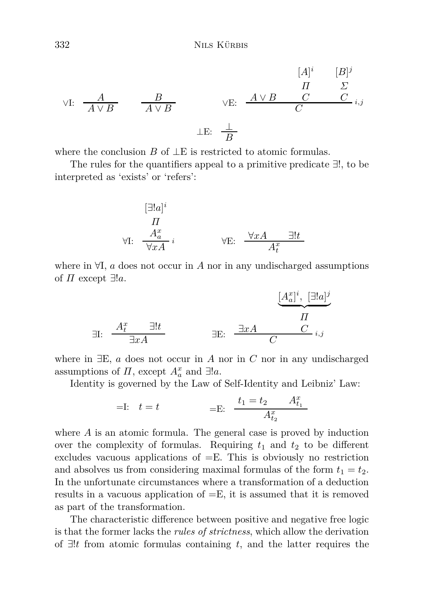$$
\forall I: \begin{array}{c}\nA \\
\downarrow \text{if } A \lor B\n\end{array}\n\qquad\n\begin{array}{c}\n\downarrow \text{if } B \lor B\n\end{array}\n\qquad\n\begin{array}{c}\n\downarrow \text{if } B \lor B\n\end{array}\n\qquad\n\begin{array}{c}\n\downarrow \text{if } B \lor B\n\end{array}\n\qquad\n\begin{array}{c}\n\downarrow \text{if } B \lor B\n\end{array}\n\qquad\n\begin{array}{c}\n\downarrow \text{if } B \lor B\n\end{array}\n\qquad\n\begin{array}{c}\n\downarrow \text{if } B \lor B\n\end{array}
$$

where the conclusion *B* of ⊥E is restricted to atomic formulas.

The rules for the quantifiers appeal to a primitive predicate ∃!, to be interpreted as 'exists' or 'refers':

[∃!*a*] *i Π A<sup>x</sup> a* ∀I: *i* ∀*xA* ∀*xA* ∃!*t* <sup>∀</sup>E: *<sup>A</sup><sup>x</sup> t*

where in ∀I, *a* does not occur in *A* nor in any undischarged assumptions of  $\Pi$  except  $\exists !a$ .

$$
\exists E: \begin{array}{ccc} \begin{array}{ccc} & & [\underline{A}_a^x]^i, & [\exists !a]^j \\ & \overline{dl}^x & \overline{dl}^x \end{array} \\ \end{array}
$$

where in ∃E, *a* does not occur in *A* nor in *C* nor in any undischarged assumptions of  $\Pi$ , except  $A_a^x$  and  $\exists !a$ .

Identity is governed by the Law of Self-Identity and Leibniz' Law:

=I: 
$$
t = t
$$
 =E:  $\frac{t_1 = t_2}{A_{t_2}^x} \frac{A_{t_1}^x}{A_{t_2}^x}$ 

where *A* is an atomic formula. The general case is proved by induction over the complexity of formulas. Requiring  $t_1$  and  $t_2$  to be different excludes vacuous applications of  $=E$ . This is obviously no restriction and absolves us from considering maximal formulas of the form  $t_1 = t_2$ . In the unfortunate circumstances where a transformation of a deduction results in a vacuous application of =E, it is assumed that it is removed as part of the transformation.

The characteristic difference between positive and negative free logic is that the former lacks the *rules of strictness*, which allow the derivation of ∃!*t* from atomic formulas containing *t*, and the latter requires the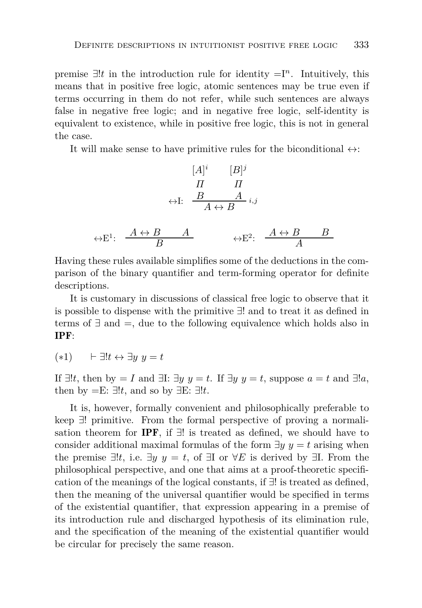premise ∃!*t* in the introduction rule for identity =I*<sup>n</sup>* . Intuitively, this means that in positive free logic, atomic sentences may be true even if terms occurring in them do not refer, while such sentences are always false in negative free logic; and in negative free logic, self-identity is equivalent to existence, while in positive free logic, this is not in general the case.

It will make sense to have primitive rules for the biconditional  $\leftrightarrow$ :

$$
[A]^{i} \qquad [B]^{j}
$$
  
\n
$$
\Pi \qquad \Pi
$$
  
\n
$$
\leftrightarrow I: \qquad \frac{B}{A \leftrightarrow B} \qquad \qquad i,j
$$
  
\n
$$
\leftrightarrow E^{1}: \qquad \frac{A \leftrightarrow B}{B} \qquad \qquad A \qquad \qquad \leftrightarrow E^{2}: \qquad \frac{A \leftrightarrow B}{A} \qquad \frac{B}{A}
$$

Having these rules available simplifies some of the deductions in the comparison of the binary quantifier and term-forming operator for definite descriptions.

It is customary in discussions of classical free logic to observe that it is possible to dispense with the primitive ∃! and to treat it as defined in terms of ∃ and =, due to the following equivalence which holds also in IPF:

(∗1) ⊢ ∃!*t* ↔ ∃*y y* = *t*

If  $\exists !t$ , then by  $= I$  and  $\exists !$ :  $\exists y \ y = t$ . If  $\exists y \ y = t$ , suppose  $a = t$  and  $\exists !a$ , then by  $=E: \exists !t$ , and so by  $\exists E: \exists !t$ .

It is, however, formally convenient and philosophically preferable to keep ∃! primitive. From the formal perspective of proving a normalisation theorem for **IPF**, if  $\exists$ ! is treated as defined, we should have to consider additional maximal formulas of the form  $\exists y \ y = t$  arising when the premise  $\exists !t$ , i.e.  $\exists y \ y = t$ , of  $\exists I$  or  $\forall E$  is derived by  $\exists I$ . From the philosophical perspective, and one that aims at a proof-theoretic specification of the meanings of the logical constants, if ∃! is treated as defined, then the meaning of the universal quantifier would be specified in terms of the existential quantifier, that expression appearing in a premise of its introduction rule and discharged hypothesis of its elimination rule, and the specification of the meaning of the existential quantifier would be circular for precisely the same reason.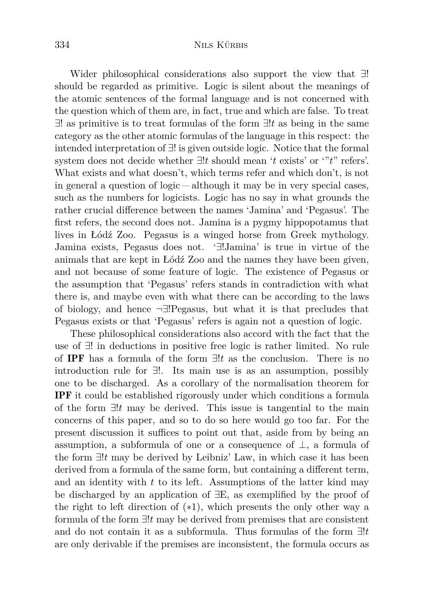Wider philosophical considerations also support the view that ∃! should be regarded as primitive. Logic is silent about the meanings of the atomic sentences of the formal language and is not concerned with the question which of them are, in fact, true and which are false. To treat ∃! as primitive is to treat formulas of the form ∃!*t* as being in the same category as the other atomic formulas of the language in this respect: the intended interpretation of ∃! is given outside logic. Notice that the formal system does not decide whether ∃!*t* should mean '*t* exists' or '"*t*" refers'. What exists and what doesn't, which terms refer and which don't, is not in general a question of  $logic - alt hough$  it may be in very special cases, such as the numbers for logicists. Logic has no say in what grounds the rather crucial difference between the names 'Jamina' and 'Pegasus'. The first refers, the second does not. Jamina is a pygmy hippopotamus that lives in Łódź Zoo. Pegasus is a winged horse from Greek mythology. Jamina exists, Pegasus does not. '∃!Jamina' is true in virtue of the animals that are kept in Łódź Zoo and the names they have been given, and not because of some feature of logic. The existence of Pegasus or the assumption that 'Pegasus' refers stands in contradiction with what there is, and maybe even with what there can be according to the laws of biology, and hence ¬∃!Pegasus, but what it is that precludes that Pegasus exists or that 'Pegasus' refers is again not a question of logic.

These philosophical considerations also accord with the fact that the use of ∃! in deductions in positive free logic is rather limited. No rule of IPF has a formula of the form ∃!*t* as the conclusion. There is no introduction rule for ∃!. Its main use is as an assumption, possibly one to be discharged. As a corollary of the normalisation theorem for IPF it could be established rigorously under which conditions a formula of the form ∃!*t* may be derived. This issue is tangential to the main concerns of this paper, and so to do so here would go too far. For the present discussion it suffices to point out that, aside from by being an assumption, a subformula of one or a consequence of  $\perp$ , a formula of the form ∃!*t* may be derived by Leibniz' Law, in which case it has been derived from a formula of the same form, but containing a different term, and an identity with *t* to its left. Assumptions of the latter kind may be discharged by an application of ∃E, as exemplified by the proof of the right to left direction of (∗1), which presents the only other way a formula of the form ∃!*t* may be derived from premises that are consistent and do not contain it as a subformula. Thus formulas of the form ∃!*t* are only derivable if the premises are inconsistent, the formula occurs as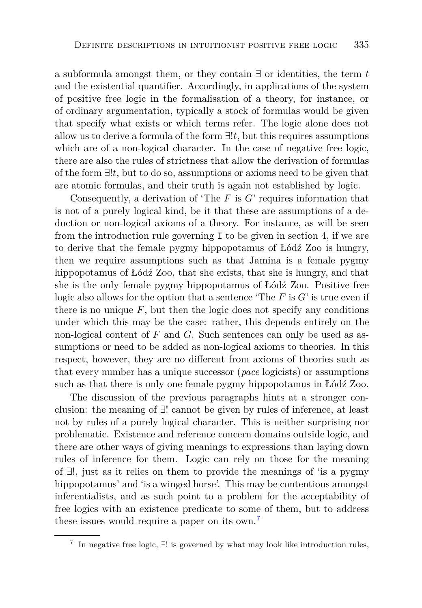a subformula amongst them, or they contain ∃ or identities, the term *t* and the existential quantifier. Accordingly, in applications of the system of positive free logic in the formalisation of a theory, for instance, or of ordinary argumentation, typically a stock of formulas would be given that specify what exists or which terms refer. The logic alone does not allow us to derive a formula of the form ∃!*t*, but this requires assumptions which are of a non-logical character. In the case of negative free logic, there are also the rules of strictness that allow the derivation of formulas of the form ∃!*t*, but to do so, assumptions or axioms need to be given that are atomic formulas, and their truth is again not established by logic.

Consequently, a derivation of 'The *F* is *G*' requires information that is not of a purely logical kind, be it that these are assumptions of a deduction or non-logical axioms of a theory. For instance, as will be seen from the introduction rule governing I to be given in section 4, if we are to derive that the female pygmy hippopotamus of Łódź Zoo is hungry, then we require assumptions such as that Jamina is a female pygmy hippopotamus of Łódź Zoo, that she exists, that she is hungry, and that she is the only female pygmy hippopotamus of Łódź Zoo. Positive free logic also allows for the option that a sentence 'The *F* is *G*' is true even if there is no unique  $F$ , but then the logic does not specify any conditions under which this may be the case: rather, this depends entirely on the non-logical content of *F* and *G*. Such sentences can only be used as assumptions or need to be added as non-logical axioms to theories. In this respect, however, they are no different from axioms of theories such as that every number has a unique successor (*pace* logicists) or assumptions such as that there is only one female pygmy hippopotamus in Łódź Zoo.

The discussion of the previous paragraphs hints at a stronger conclusion: the meaning of ∃! cannot be given by rules of inference, at least not by rules of a purely logical character. This is neither surprising nor problematic. Existence and reference concern domains outside logic, and there are other ways of giving meanings to expressions than laying down rules of inference for them. Logic can rely on those for the meaning of ∃!, just as it relies on them to provide the meanings of 'is a pygmy hippopotamus' and 'is a winged horse'. This may be contentious amongst inferentialists, and as such point to a problem for the acceptability of free logics with an existence predicate to some of them, but to address these issues would require a paper on its own.<sup>[7](#page-8-0)</sup>

<span id="page-8-1"></span><span id="page-8-0"></span><sup>&</sup>lt;sup>7</sup> In negative free logic,  $\exists!$  is governed by what may look like introduction rules,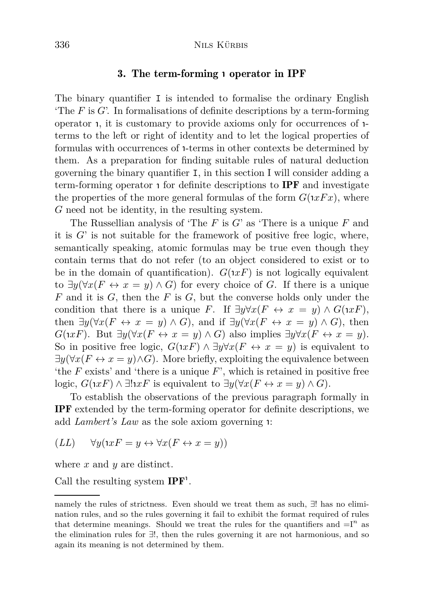## 3. The term-forming <sup>ι</sup> operator in IPF

The binary quantifier I is intended to formalise the ordinary English 'The *F* is *G*'. In formalisations of definite descriptions by a term-forming operator 1, it is customary to provide axioms only for occurrences of 1terms to the left or right of identity and to let the logical properties of formulas with occurrences of <sup>ι</sup> -terms in other contexts be determined by them. As a preparation for finding suitable rules of natural deduction governing the binary quantifier I, in this section I will consider adding a term-forming operator  $\mathbf 1$  for definite descriptions to **IPF** and investigate the properties of the more general formulas of the form  $G(xFx)$ , where *G* need not be identity, in the resulting system.

The Russellian analysis of 'The *F* is *G*' as 'There is a unique *F* and it is *G*' is not suitable for the framework of positive free logic, where, semantically speaking, atomic formulas may be true even though they contain terms that do not refer (to an object considered to exist or to be in the domain of quantification).  $G(xF)$  is not logically equivalent to  $\exists y (\forall x (F \leftrightarrow x = y) \land G)$  for every choice of *G*. If there is a unique *F* and it is *G*, then the *F* is *G*, but the converse holds only under the condition that there is a unique *F*. If  $\exists y \forall x (F \leftrightarrow x = y) \land G(\iota x F)$ , then  $\exists y (\forall x (F \leftrightarrow x = y) \land G)$ , and if  $\exists y (\forall x (F \leftrightarrow x = y) \land G)$ , then  $G(xF)$ . But  $\exists y (\forall x (F \leftrightarrow x = y) \land G)$  also implies  $\exists y \forall x (F \leftrightarrow x = y)$ . So in positive free logic,  $G(\iota x F) \wedge \exists y \forall x (F \leftrightarrow x = y)$  is equivalent to  $\exists y(\forall x(F \leftrightarrow x=y) \land G)$ . More briefly, exploiting the equivalence between 'the *F* exists' and 'there is a unique *F*', which is retained in positive free logic,  $G(\iota x F) \wedge \exists! \iota x F$  is equivalent to  $\exists y (\forall x (F \leftrightarrow x = y) \wedge G)$ .

To establish the observations of the previous paragraph formally in IPF extended by the term-forming operator for definite descriptions, we add *Lambert's Law* as the sole axiom governing **1**:

$$
(LL) \qquad \forall y (xF = y \leftrightarrow \forall x (F \leftrightarrow x = y))
$$

where *x* and *y* are distinct.

Call the resulting system  $IPF<sup>1</sup>$ .

namely the rules of strictness. Even should we treat them as such, ∃! has no elimination rules, and so the rules governing it fail to exhibit the format required of rules that determine meanings. Should we treat the rules for the quantifiers and  $=I^n$  as the elimination rules for ∃!, then the rules governing it are not harmonious, and so again its meaning is not determined by them.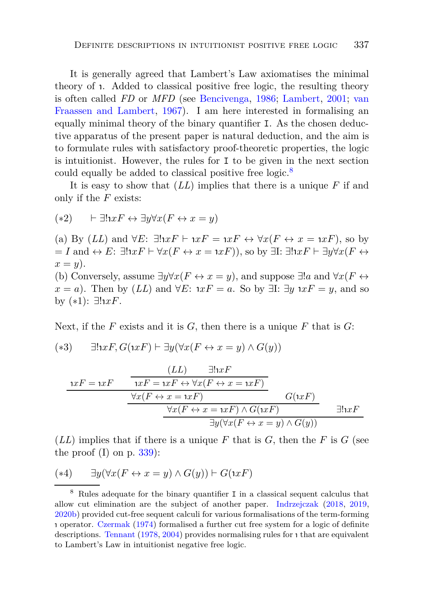It is generally agreed that Lambert's Law axiomatises the minimal theory of <sup>ι</sup> . Added to classical positive free logic, the resulting theory is often called *FD* or *MFD* (see [Bencivenga](#page-29-7)[,](#page-31-1) [1986;](#page-29-7) [Lambert,](#page-30-5) [2001](#page-30-5); van Fraassen and Lambert, [1967](#page-31-1)). I am here interested in formalising an equally minimal theory of the binary quantifier I. As the chosen deductive apparatus of the present paper is natural deduction, and the aim is to formulate rules with satisfactory proof-theoretic properties, the logic is intuitionist. However, the rules for I to be given in the next section could equally be added to classical positive free logic.<sup>[8](#page-10-0)</sup>

It is easy to show that (*LL*) implies that there is a unique *F* if and only if the *F* exists:

$$
(*2) \qquad \vdash \exists! \mathbf{1} x F \leftrightarrow \exists y \forall x (F \leftrightarrow x = y)
$$

(a) By  $(LL)$  and  $\forall E: \exists! \exists! \, xF \vdash \exists xF = \exists xF \leftrightarrow \forall x(F \leftrightarrow x = \exists xF)$ , so by  $I = I$  and  $\leftrightarrow E: \exists! xF \vdash \forall x(F \leftrightarrow x = xF)$ ), so by  $\exists I: \exists! xF \vdash \exists y \forall x(F \leftrightarrow x)$  $x = y$ ).

(b) Conversely, assume  $\exists y \forall x (F \leftrightarrow x = y)$ , and suppose  $\exists ! a$  and  $\forall x (F \leftrightarrow y)$  $x = a$ ). Then by  $(LL)$  and  $\forall E: \exists x F = a$ . So by  $\exists I: \exists y \exists x F = y$ , and so by (∗1): ∃! ι *xF*.

Next, if the *F* exists and it is *G*, then there is a unique *F* that is *G*:

 $(*3)$  $\exists x F, G(\exists x F) \vdash \exists y (\forall x (F \leftrightarrow x = y) \land G(y))$ 

$$
\underbrace{1xF = 1xF \qquad \qquad \frac{(LL) \qquad \exists!1xF}{1xF = 1xF \leftrightarrow \forall x(F \leftrightarrow x = 1xF)} \qquad G(1xF) \qquad \qquad \frac{\forall x(F \leftrightarrow x = 1xF)}{\forall x(F \leftrightarrow x = 1xF) \land G(1xF) \qquad \qquad \exists!1xF \qquad \qquad \frac{\forall x(F \leftrightarrow x = 1xF) \land G(1xF)}{\exists y(\forall x(F \leftrightarrow x = y) \land G(y))} \qquad \qquad \frac{\exists!1xF \qquad \qquad \frac{\forall x(F \leftrightarrow x = 1xF) \land G(1TF)}{\forall x(F \leftrightarrow x = y) \land G(y)}
$$

 $(LL)$  implies that if there is a unique F that is G, then the F is G (see the proof (I) on p.  $339$ :

$$
(**4) \qquad \exists y (\forall x (F \leftrightarrow x = y) \land G(y)) \vdash G(\iota x F)
$$

<span id="page-10-0"></span><sup>8</sup> Rules adequate for the binary quantifier I in a classical sequent calculus that allow cut elimination are the subject of another paper. [Indrzejczak](#page-29-8) [\(2018,](#page-29-8) [2019,](#page-29-9) [2020b](#page-30-8)) provided cut-free sequent calculi for various formalisations of the term-forming ι operator. [Czermak](#page-29-10) [\(1974\)](#page-29-10) formalised a further cut free system for a logic of definite descriptions. [Tennant](#page-31-2) [\(1978,](#page-31-2) [2004\)](#page-31-3) provides normalising rules for <sup>ι</sup> that are equivalent to Lambert's Law in intuitionist negative free logic.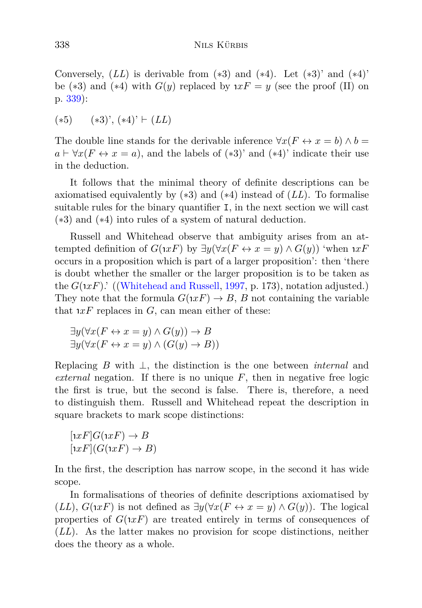Conversely,  $(LL)$  is derivable from  $(*3)$  and  $(*4)$ . Let  $(*3)'$  and  $(*4)'$ be  $(*3)$  and  $(*4)$  with  $G(y)$  replaced by  $xF = y$  (see the proof (II) on p. [339\)](#page-8-1):

 $(*5)$   $(*3)$ ',  $(*4)$ '  $\vdash$   $(LL)$ 

The double line stands for the derivable inference  $\forall x (F \leftrightarrow x = b) \land b =$  $a \vdash \forall x (F \leftrightarrow x = a)$ , and the labels of  $(*3)$ ' and  $(*4)$ ' indicate their use in the deduction.

It follows that the minimal theory of definite descriptions can be axiomatised equivalently by (∗3) and (∗4) instead of (*LL*). To formalise suitable rules for the binary quantifier I, in the next section we will cast (∗3) and (∗4) into rules of a system of natural deduction.

Russell and Whitehead observe that ambiguity arises from an attempted definition of  $G(xF)$  by  $\exists y(\forall x(F \leftrightarrow x=y) \land G(y))$  'when  $xF$ occurs in a proposition which is part of a larger proposition': then 'there is doubt whether the smaller or the larger proposition is to be taken as the  $G(\mu F)$ .' ([\(Whitehead and Russell](#page-31-4), [1997,](#page-31-4) p. 173), notation adjusted.) They note that the formula  $G(\iota x F) \to B$ , *B* not containing the variable that  $xF$  replaces in  $G$ , can mean either of these:

$$
\exists y (\forall x (F \leftrightarrow x = y) \land G(y)) \rightarrow B
$$
  

$$
\exists y (\forall x (F \leftrightarrow x = y) \land (G(y) \rightarrow B))
$$

Replacing *B* with ⊥, the distinction is the one between *internal* and *external* negation. If there is no unique  $F$ , then in negative free logic the first is true, but the second is false. There is, therefore, a need to distinguish them. Russell and Whitehead repeat the description in square brackets to mark scope distinctions:

$$
[xF]G(xF) \to B
$$

$$
[xF](G(xF) \to B)
$$

In the first, the description has narrow scope, in the second it has wide scope.

In formalisations of theories of definite descriptions axiomatised by (*LL*),  $G(\iota x F)$  is not defined as  $\exists y (\forall x (F \leftrightarrow x = y) \land G(y))$ . The logical properties of  $G(xF)$  are treated entirely in terms of consequences of (*LL*). As the latter makes no provision for scope distinctions, neither does the theory as a whole.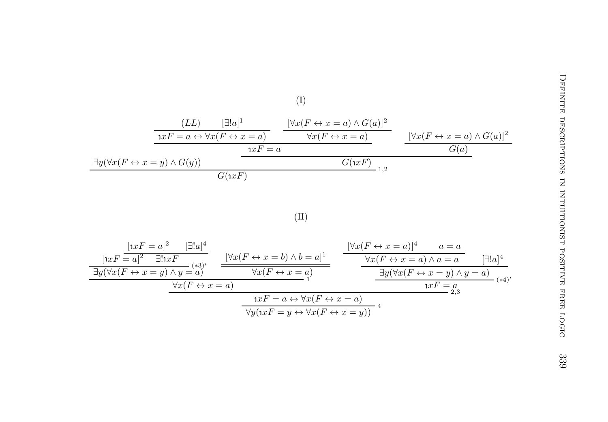

$$
\frac{[xF = a]^2 \quad \exists!a]^4}{\exists y(\forall x(F \leftrightarrow x = y) \land y = a)} \quad \frac{[\forall x(F \leftrightarrow x = b) \land b = a]^1}{\forall x(F \leftrightarrow x = a)} \quad \frac{[\forall x(F \leftrightarrow x = a)]^4 \quad a = a}{\forall x(F \leftrightarrow x = a) \land a = a} \quad \boxed{\exists!a]^4}
$$
\n
$$
\frac{\exists y(\forall x(F \leftrightarrow x = y) \land y = a)}{\forall x(F \leftrightarrow x = a)} \quad \frac{\forall x(F \leftrightarrow x = a)}{\exists y(\forall x(F \leftrightarrow x = y) \land y = a)} \quad \frac{\exists y(\forall x(F \leftrightarrow x = y) \land y = a)}{\exists xF = a} \quad (*)}
$$
\n
$$
\frac{\forall x(F \leftrightarrow x = a)}{\forall y(\exists xF = y \leftrightarrow \forall x(F \leftrightarrow x = y))} \quad \frac{\forall x(F \leftrightarrow x = a)}{\exists xF = a} \quad (*)}
$$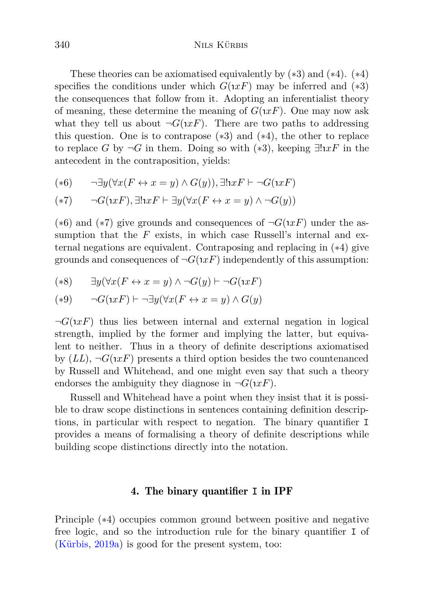These theories can be axiomatised equivalently by  $(*3)$  and  $(*4)$ .  $(*4)$ specifies the conditions under which  $G(xF)$  may be inferred and  $(*3)$ the consequences that follow from it. Adopting an inferentialist theory of meaning, these determine the meaning of  $G(\iota x F)$ . One may now ask what they tell us about  $\neg G(xF)$ . There are two paths to addressing this question. One is to contrapose  $(*3)$  and  $(*4)$ , the other to replace to replace *G* by  $\neg G$  in them. Doing so with  $(*3)$ , keeping  $\exists! \mathbf{1} x F$  in the antecedent in the contraposition, yields:

$$
(*6) \qquad \neg \exists y (\forall x (F \leftrightarrow x = y) \land G(y)), \exists! \exists x F \vdash \neg G(xF)
$$

$$
(*7) \qquad \neg G(\iota x F), \exists ! \iota x F \vdash \exists y (\forall x (F \leftrightarrow x = y) \land \neg G(y))
$$

( $*6$ ) and  $(*7)$  give grounds and consequences of  $\neg G(1xF)$  under the assumption that the *F* exists, in which case Russell's internal and external negations are equivalent. Contraposing and replacing in (∗4) give grounds and consequences of  $\neg G(xF)$  independently of this assumption:

$$
(**8) \qquad \exists y (\forall x (F \leftrightarrow x = y) \land \neg G(y) \vdash \neg G(\exists x F))
$$

$$
(*)\qquad \neg G(\iota x F) \vdash \neg \exists y (\forall x (F \leftrightarrow x = y) \land G(y)
$$

 $\neg G(xF)$  thus lies between internal and external negation in logical strength, implied by the former and implying the latter, but equivalent to neither. Thus in a theory of definite descriptions axiomatised by  $(LL)$ ,  $\neg G(\iota x F)$  presents a third option besides the two countenanced by Russell and Whitehead, and one might even say that such a theory endorses the ambiguity they diagnose in  $\neg G(\iota x F)$ .

<span id="page-13-0"></span>Russell and Whitehead have a point when they insist that it is possible to draw scope distinctions in sentences containing definition descriptions, in particular with respect to negation. The binary quantifier I provides a means of formalising a theory of definite descriptions while building scope distinctions directly into the notation.

#### 4. The binary quantifier **I** in IPF

Principle (∗4) occupies common ground between positive and negative free logic, and so the introduction rule for the binary quantifier I of [\(Kürbis,](#page-30-0) [2019a\)](#page-30-0) is good for the present system, too: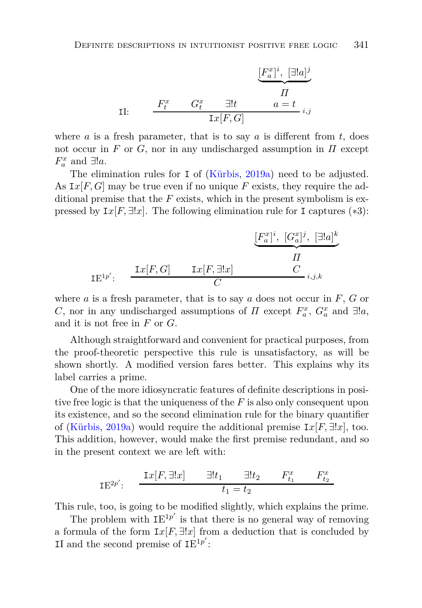$$
\underbrace{[F_a^x]^i,\;[\exists !a]^j}_{\Pi} \label{eq:2.1}
$$
   
 
$$
\underbrace{F_t^x \qquad G_t^x \qquad \exists !t \qquad \qquad a=t}_{\text{Ix}[F,\,G]} \quad \, i,j
$$

where  $a$  is a fresh parameter, that is to say  $a$  is different from  $t$ , does not occur in *F* or *G*, nor in any undischarged assumption in  $\Pi$  except  $F_a^x$  and  $\exists !a$ .

The elimination rules for I of [\(Kürbis,](#page-30-0) [2019a](#page-30-0)) need to be adjusted. As I*x*[*F, G*] may be true even if no unique *F* exists, they require the additional premise that the *F* exists, which in the present symbolism is expressed by  $I\overline{x}$ [*F*,  $\exists !\overline{x}$ ]. The following elimination rule for I captures (\*3):

$$
\underbrace{[F_a^x]^i, [G_a^x]^j, [\exists!a]^k}_{\text{IE}^{1p'}:} \underbrace{\text{Ix}[F, G]}_{\text{Ix}[F, \exists!x]} \underbrace{\text{Ix}[F, G]}_{\text{Iy}}.
$$

where *a* is a fresh parameter, that is to say *a* does not occur in *F*, *G* or *C*, nor in any undischarged assumptions of *Π* except  $F_a^x$ ,  $G_a^x$  and  $\exists !a$ , and it is not free in *F* or *G*.

Although straightforward and convenient for practical purposes, from the proof-theoretic perspective this rule is unsatisfactory, as will be shown shortly. A modified version fares better. This explains why its label carries a prime.

One of the more idiosyncratic features of definite descriptions in positive free logic is that the uniqueness of the *F* is also only consequent upon its existence, and so the second elimination rule for the binary quantifier of [\(Kürbis,](#page-30-0) [2019a\)](#page-30-0) would require the additional premise  $I_x[F, \exists !x]$ , too. This addition, however, would make the first premise redundant, and so in the present context we are left with:

$$
\mathrm{IE}^{2p'}\colon \quad \frac{\mathrm{I}x[F,\exists !x] \qquad \exists !t_1 \qquad \exists !t_2 \qquad F_{t_1}^x \qquad F_{t_2}^x}{t_1 = t_2}
$$

This rule, too, is going to be modified slightly, which explains the prime.

The problem with  $IE^{1p'}$  is that there is no general way of removing a formula of the form  $I_x[F, \exists !x]$  from a deduction that is concluded by II and the second premise of  $IE^{1p'}$ :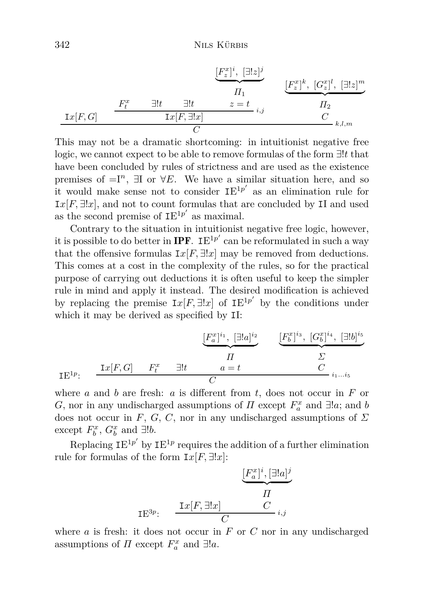$$
\underbrace{[F_z^x]^i}_{\Pi_1}, \underbrace{[\exists!z]^j}_{\Pi_2}, \underbrace{[F_z^x]^k}_{\Pi_2}, \underbrace{[\Xi!z]^m}_{\Pi_2}
$$
\n
$$
\underbrace{[F_z^x]^k}_{\Pi_2}, \underbrace{[G_z^x]^l}_{\Pi_2}, \underbrace{[\exists!z]^m}_{\Pi_2}
$$
\n
$$
\underbrace{\mathbf{I}x[F, G]}_{\Pi_2}, \underbrace{\mathbf{I}x[F, G]}_{\Pi_2}, \underbrace{\mathbf{I}x[F, G]}_{\Pi_2}, \underbrace{\mathbf{I}x[F, G]}_{\Pi_2}, \underbrace{\mathbf{I}x[F, G]}_{\Pi_2}, \underbrace{\mathbf{I}x[F, G]}_{\Pi_2}, \underbrace{\mathbf{I}x[F, G]}_{\Pi_2}, \underbrace{\mathbf{I}x[F, G]}_{\Pi_2}, \underbrace{\mathbf{I}x[F, G]}_{\Pi_2}, \underbrace{\mathbf{I}x[F, G]}_{\Pi_2}, \underbrace{\mathbf{I}x[F, G]}_{\Pi_2}, \underbrace{\mathbf{I}x[F, G]}_{\Pi_2}, \underbrace{\mathbf{I}x[F, G]}_{\Pi_2}, \underbrace{\mathbf{I}x[F, G]}_{\Pi_2}, \underbrace{\mathbf{I}x[F, G]}_{\Pi_2}, \underbrace{\mathbf{I}x[F, G]}_{\Pi_2}, \underbrace{\mathbf{I}x[F, G]}_{\Pi_2}, \underbrace{\mathbf{I}x[F, G]}_{\Pi_2}, \underbrace{\mathbf{I}x[F, G]}_{\Pi_2}, \underbrace{\mathbf{I}x[F, G]}_{\Pi_2}, \underbrace{\mathbf{I}x[F, G]}_{\Pi_2}, \underbrace{\mathbf{I}x[F, G]}_{\Pi_2}, \underbrace{\mathbf{I}x[F, G]}_{\Pi_2}, \underbrace{\mathbf{I}x[F, G]}_{\Pi_2}, \underbrace{\mathbf{I}x[F, G]}_{\Pi_2}, \underbrace{\mathbf{I}x[F, G]}_{\Pi_2}, \underbrace{\mathbf{I}x[F, G]}_{\Pi_2}, \underbrace{\mathbf{I}x[F, G]}_{\Pi_2}, \underbrace{\mathbf{I}x[F, G]}_{\Pi_2}, \underbrace{\mathbf{I}x[F, G]}_{\Pi_2}, \underbrace{\mathbf{I}x[F, G]}_{\Pi_2}, \underbrace{\mathbf{I
$$

This may not be a dramatic shortcoming: in intuitionist negative free logic, we cannot expect to be able to remove formulas of the form ∃!*t* that have been concluded by rules of strictness and are used as the existence premises of  $=I^n$ ,  $\exists I$  or  $\forall E$ . We have a similar situation here, and so it would make sense not to consider  $IE^{1p'}$  as an elimination rule for  $I\left(x\right)$ [*F,*  $\exists !$ *x*], and not to count formulas that are concluded by II and used as the second premise of  $IE^{1p'}$  as maximal.

Contrary to the situation in intuitionist negative free logic, however, it is possible to do better in **IPF**.  $IE^{1p'}$  can be reformulated in such a way that the offensive formulas  $I_x[F, \exists !x]$  may be removed from deductions. This comes at a cost in the complexity of the rules, so for the practical purpose of carrying out deductions it is often useful to keep the simpler rule in mind and apply it instead. The desired modification is achieved by replacing the premise  $I_x[F, \exists !x]$  of  $I E^{1p'}$  by the conditions under which it may be derived as specified by  $II$ :

$$
\underbrace{\begin{bmatrix} F_a^x \end{bmatrix}^{i_1}, \begin{bmatrix} \exists !a \end{bmatrix}^{i_2}}_{\text{I}} \qquad \underbrace{\begin{bmatrix} F_b^x \end{bmatrix}^{i_3}, \begin{bmatrix} G_b^x \end{bmatrix}^{i_4}, \begin{bmatrix} \exists !b \end{bmatrix}^{i_5}}_{\text{I}}}{\begin{bmatrix} \Sigma \\ \text{I}} \\ \text{I}} \\ \text{I}} \\ \underbrace{\begin{bmatrix} \text{I}x \end{bmatrix}^{i_7}}_{\text{I}} \qquad \underbrace{\begin{bmatrix} \text{I}x \end{bmatrix}^{i_8}}_{\text{I}} \qquad \underbrace{\begin{bmatrix} \text{I}x \end{bmatrix}^{i_8}}_{\text{I}} \qquad \underbrace{\begin{bmatrix} \text{I}x \end{bmatrix}^{i_8}}_{\text{I}} \qquad \underbrace{\begin{bmatrix} \text{I}x \end{bmatrix}^{i_8}}_{\text{I}}}_{\text{I}}}{\begin{bmatrix} \text{I}x \end{bmatrix}^{i_7}}_{\text{I}}}
$$

where *a* and *b* are fresh: *a* is different from *t*, does not occur in *F* or *G*, nor in any undischarged assumptions of *Π* except  $F_a^x$  and  $\exists !a$ ; and *b* does not occur in *F*, *G*, *C*, nor in any undischarged assumptions of  $\Sigma$ except  $F_b^x$ ,  $G_b^x$  and  $\exists !b$ .

Replacing  $IE^{1p'}$  by  $IE^{1p}$  requires the addition of a further elimination rule for formulas of the form  $I_x[F, \exists !x]$ :

$$
\underbrace{[F_a^x]^i, [\exists!a]^j}_{II}
$$
  
IE<sup>3p</sup>:  

$$
\underbrace{\text{I}x[F,\exists!x]}_{C} \underbrace{I}{\underset{i,j}{\prod}}
$$

where  $a$  is fresh: it does not occur in  $F$  or  $C$  nor in any undischarged assumptions of  $\Pi$  except  $F_a^x$  and  $\exists !a$ .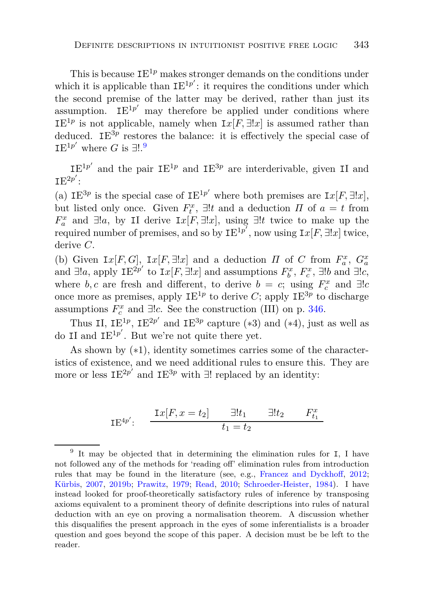This is because  $IE^{1p}$  makes stronger demands on the conditions under which it is applicable than  $IE^{1p'}$ : it requires the conditions under which the second premise of the latter may be derived, rather than just its assumption.  $IE^{1p'}$  may therefore be applied under conditions where  $IE^{1p}$  is not applicable, namely when  $Ix[F, \exists !x]$  is assumed rather than deduced. IE<sup>3*p*</sup> restores the balance: it is effectively the special case of IE<sup>1*p'*</sup> where *G* is ∃!.<sup>[9](#page-16-0)</sup>

 $IE^{1p'}$  and the pair  $IE^{1p}$  and  $IE^{3p}$  are interderivable, given II and  $IE^{2p'}$ :

(a) IE<sup>3p</sup> is the special case of IE<sup>1p'</sup> where both premises are Ix[F,  $\exists !x$ ], but listed only once. Given  $F_t^x$ ,  $\exists !t$  and a deduction  $\Pi$  of  $a = t$  from *F*<sup>*x*</sup></sup> and ∃!*a*, by II derive I*x*[*F*, ∃!*x*], using ∃!*t* twice to make up the required number of premises, and so by  $IE^{1p'}$ , now using  $Ix[F, \exists !x]$  twice, derive *C*.

(b) Given  $\text{I}x[F, G]$ ,  $\text{I}x[F, \exists !x]$  and a deduction *Π* of *C* from  $F_a^x$ ,  $G_a^x$ and  $\exists !a$ , apply  $IE^{2p'}$  to  $Ix[F, \exists !x]$  and assumptions  $F_b^x$ ,  $F_c^x$ ,  $\exists !b$  and  $\exists !c$ , where *b*, *c* are fresh and different, to derive  $b = c$ ; using  $F_c^x$  and  $\exists !c$ once more as premises, apply  $IE^{1p}$  to derive *C*; apply  $IE^{3p}$  to discharge assumptions  $F_c^x$  and  $\exists !c$ . See the construction (III) on p. [346.](#page-13-0)

Thus II,  $IE^{1p}$ ,  $IE^{2p'}$  and  $IE^{3p}$  capture (\*3) and (\*4), just as well as do II and  $IE^{1p'}$ . But we're not quite there yet.

As shown by (∗1), identity sometimes carries some of the characteristics of existence, and we need additional rules to ensure this. They are more or less  $IE^{2p'}$  and  $IE^{3p}$  with  $\exists!$  replaced by an identity:

$$
IE^{4p'}: \quad \frac{\mathrm{I}x[F, x = t_2]}{t_1 = t_2} \quad \frac{\exists! t_1 \quad \exists! t_2 \quad F_{t_1}^x}{t_1 = t_2}
$$

<span id="page-16-0"></span><sup>&</sup>lt;sup>9</sup> It may be objected that in determining the elimination rules for I, I have not followed any of the methods for 'reading off' elimination rules from introduction rules that may be found in the literature (see, e.g., [Francez and Dyckhoff](#page-29-11), [2012;](#page-29-11) [Kürbis,](#page-30-9) [2007,](#page-30-9) [2019b](#page-30-10); [Prawitz](#page-30-11), [1979](#page-30-11); [Read,](#page-31-5) [2010](#page-31-5); [Schroeder-Heister](#page-31-6), [1984](#page-31-6)). I have instead looked for proof-theoretically satisfactory rules of inference by transposing axioms equivalent to a prominent theory of definite descriptions into rules of natural deduction with an eye on proving a normalisation theorem. A discussion whether this disqualifies the present approach in the eyes of some inferentialists is a broader question and goes beyond the scope of this paper. A decision must be be left to the reader.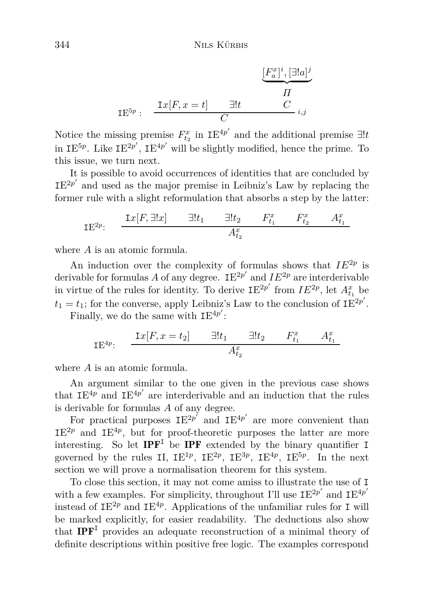$$
\underbrace{[F_a^x]^i, [\exists!a]^j}_{\Pi}
$$
  

$$
\underbrace{\mathbf{I}x[F, x = t]}_{C} \underbrace{\exists!t \qquad C}_{i,j}
$$

Notice the missing premise  $F_{t_2}^x$  in  $IE^{4p'}$  and the additional premise  $\exists !t$ in  $IE^{5p}$ . Like  $IE^{2p'}$ ,  $IE^{4p'}$  will be slightly modified, hence the prime. To this issue, we turn next.

It is possible to avoid occurrences of identities that are concluded by  $IE^{2p'}$  and used as the major premise in Leibniz's Law by replacing the former rule with a slight reformulation that absorbs a step by the latter:

$$
\mathbf{IE}^{2p}:\quad \frac{\mathbf{I}x[F,\exists !x] \qquad \exists !t_1 \qquad \exists !t_2 \qquad F_{t_1}^x \qquad F_{t_2}^x \qquad A_{t_1}^x}{A_{t_2}^x}
$$

where *A* is an atomic formula.

An induction over the complexity of formulas shows that  $IE^{2p}$  is derivable for formulas A of any degree.  $IE^{2p'}$  and  $IE^{2p}$  are interderivable in virtue of the rules for identity. To derive  $IE^{2p'}$  from  $IE^{2p}$ , let  $A_{t_1}^x$  be  $t_1 = t_1$ ; for the converse, apply Leibniz's Law to the conclusion of  $IE^{2p'}$ .

Finally, we do the same with  $IE^{4p'}$ :

IE<sup>4p</sup>: 
$$
\frac{\text{I}x[F, x = t_2]}{\text{I}t_1} \frac{\exists! t_1 \quad \exists! t_2 \quad F_{t_1}^x \quad A_{t_1}^x}{A_{t_2}^x}
$$

where *A* is an atomic formula.

An argument similar to the one given in the previous case shows that  $IE^{4p'}$  and  $IE^{4p'}$  are interderivable and an induction that the rules is derivable for formulas *A* of any degree.

For practical purposes  $IE^{2p'}$  and  $IE^{4p'}$  are more convenient than  $IE^{2p}$  and  $IE^{4p}$ , but for proof-theoretic purposes the latter are more interesting. So let  $IPF<sup>T</sup>$  be IPF extended by the binary quantifier I governed by the rules II,  $IE^{1p}$ ,  $IE^{2p}$ ,  $IE^{3p}$ ,  $IE^{4p}$ ,  $IE^{5p}$ . In the next section we will prove a normalisation theorem for this system.

To close this section, it may not come amiss to illustrate the use of I with a few examples. For simplicity, throughout I'll use  $IE^{2p'}$  and  $IE^{4p'}$ instead of  $IE^{2p}$  and  $IE^{4p}$ . Applications of the unfamiliar rules for I will be marked explicitly, for easier readability. The deductions also show that  $\mathbf{IPF}^{\mathsf{T}}$  provides an adequate reconstruction of a minimal theory of definite descriptions within positive free logic. The examples correspond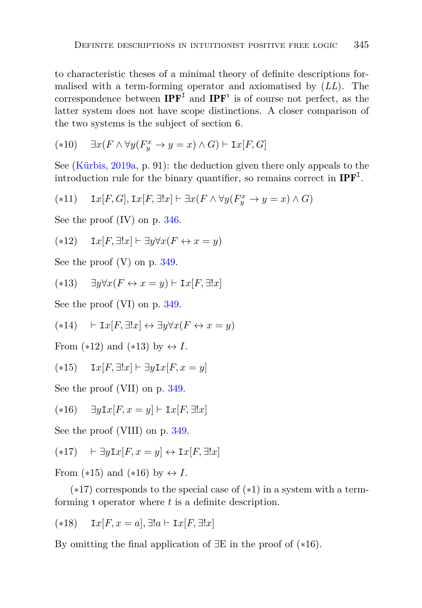to characteristic theses of a minimal theory of definite descriptions formalised with a term-forming operator and axiomatised by (*LL*). The correspondence between  $IPF<sup>I</sup>$  and  $IPF<sup>1</sup>$  is of course not perfect, as the latter system does not have scope distinctions. A closer comparison of the two systems is the subject of section 6.

$$
(*10) \quad \exists x (F \land \forall y (F_y^x \to y = x) \land G) \vdash \mathrm{I}x [F, G]
$$

See [\(Kürbis,](#page-30-0) [2019a](#page-30-0), p. 91): the deduction given there only appeals to the introduction rule for the binary quantifier, so remains correct in  $IPF<sup>I</sup>$ .

$$
(*11) \quad \ \ \mathrm{I}x[F,G],\mathrm{I}x[F,\exists !x]\vdash \exists x(F\wedge \forall y(F_y^x\rightarrow y=x)\wedge G)
$$

See the proof (IV) on p. [346.](#page-13-0)

$$
(*12) \quad \ \mathbf{I}x[F,\exists!x] \vdash \exists y \forall x(F \leftrightarrow x=y)
$$

See the proof (V) on p. [349.](#page-13-0)

$$
(*13) \quad \exists y \forall x (F \leftrightarrow x = y) \vdash \mathbf{I}x[F, \exists !x]
$$

See the proof (VI) on p. [349.](#page-13-0)

$$
(*14) \quad \vdash \mathbf{I}x[F,\exists!x] \leftrightarrow \exists y \forall x(F \leftrightarrow x=y)
$$

From  $(*12)$  and  $(*13)$  by  $\leftrightarrow I$ .

$$
(*15) \quad \text{I}x[F,\exists!x] \vdash \exists y \text{I}x[F,x=y]
$$

See the proof (VII) on p. [349.](#page-13-0)

$$
(*16) \quad \exists y \mathbf{I} x [F, x = y] \vdash \mathbf{I} x [F, \exists ! x]
$$

See the proof (VIII) on p. [349.](#page-13-0)

$$
(*17) \quad \vdash \exists y \mathbf{I} x [F, x = y] \leftrightarrow \mathbf{I} x [F, \exists ! x]
$$

From (\*15) and (\*16) by  $\leftrightarrow I$ .

(∗17) corresponds to the special case of (∗1) in a system with a termforming <sup>ι</sup> operator where *t* is a definite description.

(∗18) I*x*[*F, x* = *a*]*,* ∃!*a* ⊢ I*x*[*F,* ∃!*x*]

By omitting the final application of ∃E in the proof of (∗16).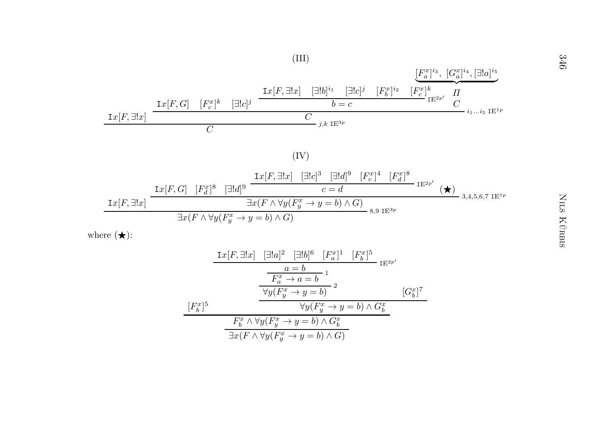

$$
\frac{\text{I}x[F, \exists !x] \quad [\exists !a]^2 \quad [\exists !b]^6 \quad [F_a^x]^1 \quad [F_b^x]^5}{a = b} \text{I}^{E^{2p'}}\n\frac{a = b}{F_a^x \to a = b} \text{I}\n\frac{\forall y(F_y^x \to y = b)}{2} \quad [G_b^x]^7\n\frac{F_b^x \land \forall y(F_y^x \to y = b) \land G_b^x}{\exists x(F \land \forall y(F_y^x \to y = b) \land G)}
$$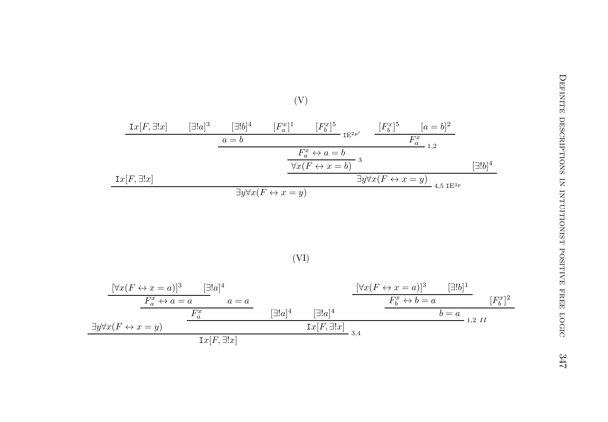

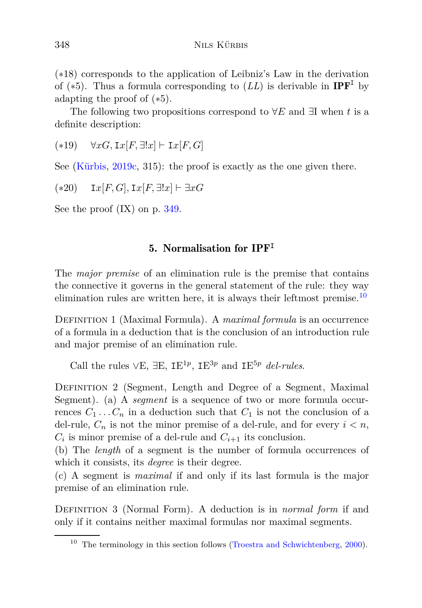(∗18) corresponds to the application of Leibniz's Law in the derivation of ( $*5$ ). Thus a formula corresponding to  $(LL)$  is derivable in **IPF**<sup>I</sup> by adapting the proof of (∗5).

The following two propositions correspond to ∀*E* and ∃I when *t* is a definite description:

(∗19) ∀*xG,* I*x*[*F,* ∃!*x*] ⊢ I*x*[*F, G*]

See [\(Kürbis,](#page-30-1) [2019c,](#page-30-1) 315): the proof is exactly as the one given there.

(∗20) I*x*[*F, G*]*,* I*x*[*F,* ∃!*x*] ⊢ ∃*xG*

See the proof (IX) on p. [349.](#page-13-0)

## 5. Normalisation for IPF**<sup>I</sup>**

The *major premise* of an elimination rule is the premise that contains the connective it governs in the general statement of the rule: they way elimination rules are written here, it is always their leftmost premise.<sup>[10](#page-21-0)</sup>

Definition 1 (Maximal Formula). A *maximal formula* is an occurrence of a formula in a deduction that is the conclusion of an introduction rule and major premise of an elimination rule.

Call the rules  $\vee E$ ,  $\exists E$ ,  $IE^{1p}$ ,  $IE^{3p}$  and  $IE^{5p}$  *del-rules*.

Definition 2 (Segment, Length and Degree of a Segment, Maximal Segment). (a) A *segment* is a sequence of two or more formula occurrences  $C_1 \ldots C_n$  in a deduction such that  $C_1$  is not the conclusion of a del-rule,  $C_n$  is not the minor premise of a del-rule, and for every  $i < n$ ,  $C_i$  is minor premise of a del-rule and  $C_{i+1}$  its conclusion.

(b) The *length* of a segment is the number of formula occurrences of which it consists, its *degree* is their degree.

(c) A segment is *maximal* if and only if its last formula is the major premise of an elimination rule.

DEFINITION 3 (Normal Form). A deduction is in *normal form* if and only if it contains neither maximal formulas nor maximal segments.

<span id="page-21-0"></span> $10$  The terminology in this section follows [\(Troestra and Schwichtenberg,](#page-31-7) [2000\)](#page-31-7).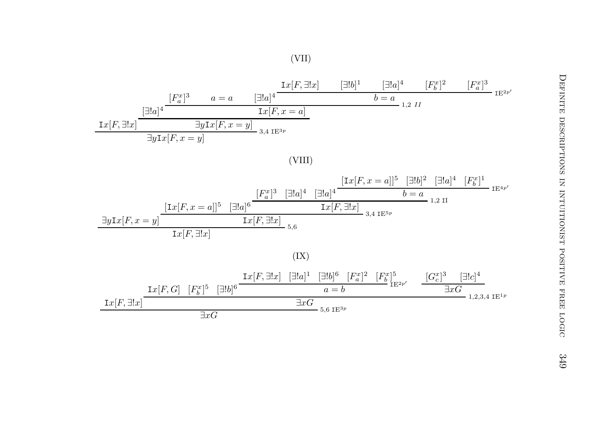

(VIII)



(IX)

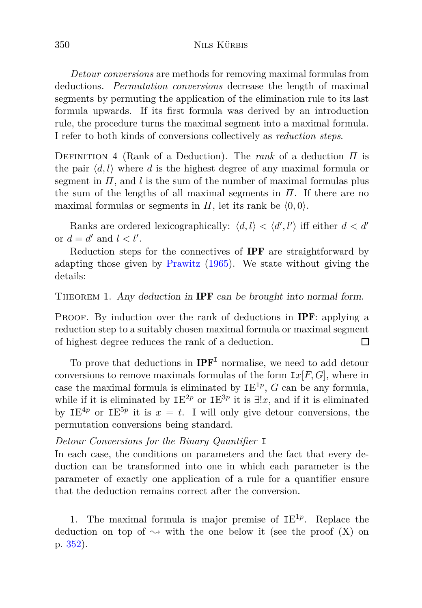*Detour conversions* are methods for removing maximal formulas from deductions. *Permutation conversions* decrease the length of maximal segments by permuting the application of the elimination rule to its last formula upwards. If its first formula was derived by an introduction rule, the procedure turns the maximal segment into a maximal formula. I refer to both kinds of conversions collectively as *reduction steps*.

Definition 4 (Rank of a Deduction). The *rank* of a deduction *Π* is the pair  $\langle d, l \rangle$  where *d* is the highest degree of any maximal formula or segment in  $\Pi$ , and  $\ell$  is the sum of the number of maximal formulas plus the sum of the lengths of all maximal segments in *Π*. If there are no maximal formulas or segments in  $\Pi$ , let its rank be  $(0,0)$ .

Ranks are ordered lexicographically:  $\langle d, l \rangle < \langle d', l' \rangle$  iff either  $d < d'$ or  $d = d'$  and  $l < l'$ .

Reduction steps for the connectives of IPF are straightforward by adapting those given by [Prawitz](#page-30-4) [\(1965\)](#page-30-4). We state without giving the details:

THEOREM 1. Any deduction in **IPF** can be brought into normal form.

PROOF. By induction over the rank of deductions in **IPF**: applying a reduction step to a suitably chosen maximal formula or maximal segment of highest degree reduces the rank of a deduction.  $\Box$ 

To prove that deductions in  $IPF<sup>I</sup>$  normalise, we need to add detour conversions to remove maximals formulas of the form  $I\mathcal{X}[F,G]$ , where in case the maximal formula is eliminated by  $IE^{1p}$ ,  $G$  can be any formula, while if it is eliminated by  $IE^{2p}$  or  $IE^{3p}$  it is  $\exists !x$ , and if it is eliminated by IE<sup>4p</sup> or IE<sup>5p</sup> it is  $x = t$ . I will only give detour conversions, the permutation conversions being standard.

### *Detour Conversions for the Binary Quantifier* I

In each case, the conditions on parameters and the fact that every deduction can be transformed into one in which each parameter is the parameter of exactly one application of a rule for a quantifier ensure that the deduction remains correct after the conversion.

1. The maximal formula is major premise of  $IE^{1p}$ . Replace the deduction on top of  $\rightarrow$  with the one below it (see the proof (X) on p. [352\)](#page-24-0).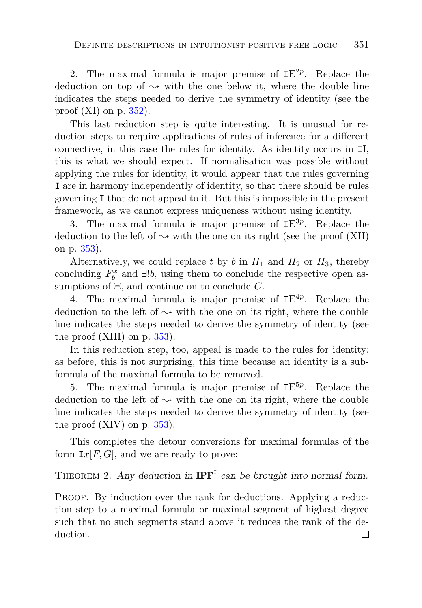2. The maximal formula is major premise of  $IE^{2p}$ . Replace the deduction on top of  $\sim$  with the one below it, where the double line indicates the steps needed to derive the symmetry of identity (see the proof  $(XI)$  on p. [352\)](#page-24-0).

This last reduction step is quite interesting. It is unusual for reduction steps to require applications of rules of inference for a different connective, in this case the rules for identity. As identity occurs in II, this is what we should expect. If normalisation was possible without applying the rules for identity, it would appear that the rules governing I are in harmony independently of identity, so that there should be rules governing I that do not appeal to it. But this is impossible in the present framework, as we cannot express uniqueness without using identity.

3. The maximal formula is major premise of IE 3*p* . Replace the deduction to the left of  $\sim$  with the one on its right (see the proof (XII) on p. [353\)](#page-24-0).

Alternatively, we could replace *t* by *b* in  $\Pi_1$  and  $\Pi_2$  or  $\Pi_3$ , thereby concluding  $F_b^x$  and  $\exists !b$ , using them to conclude the respective open assumptions of Ξ, and continue on to conclude *C*.

4. The maximal formula is major premise of IE 4*p* . Replace the deduction to the left of  $\sim$  with the one on its right, where the double line indicates the steps needed to derive the symmetry of identity (see the proof  $(XIII)$  on p.  $353$ ).

In this reduction step, too, appeal is made to the rules for identity: as before, this is not surprising, this time because an identity is a subformula of the maximal formula to be removed.

5. The maximal formula is major premise of IE 5*p* . Replace the deduction to the left of  $\sim$  with the one on its right, where the double line indicates the steps needed to derive the symmetry of identity (see the proof  $(XIV)$  on p. [353\)](#page-24-0).

<span id="page-24-0"></span>This completes the detour conversions for maximal formulas of the form  $I\!\mathscr{X}|F,G|$ , and we are ready to prove:

# THEOREM 2. Any deduction in  $IPF<sup>T</sup>$  can be brought into normal form.

PROOF. By induction over the rank for deductions. Applying a reduction step to a maximal formula or maximal segment of highest degree such that no such segments stand above it reduces the rank of the deduction. $\Box$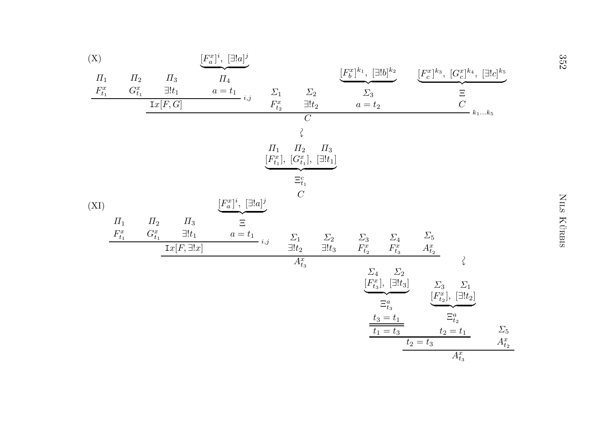| $(\mathbf{X})$        |                       |                      |                    | $[F_a^x]$ <sup>i</sup> , $[\exists !a]^j$ |                       |                                                        |               |                                      |                              |                                                     |                                                |               | 352         |
|-----------------------|-----------------------|----------------------|--------------------|-------------------------------------------|-----------------------|--------------------------------------------------------|---------------|--------------------------------------|------------------------------|-----------------------------------------------------|------------------------------------------------|---------------|-------------|
| $\Pi_1$               | $\Pi_2$               | $\Pi_3$              |                    | $\varPi_4$                                |                       |                                                        |               | $[F_b^x]^{k_1},\ [\exists !b]^{k_2}$ |                              | $[F_c^x]^{k_3}, [G_c^x]^{k_4}, [ \exists !c]^{k_5}$ |                                                |               |             |
| $\mathcal{F}_{t_1}^x$ | ${\cal G}^x_{t_1}$    |                      | $\exists! t_1$     | $a = t_1$ <sub>i,j</sub>                  | $\varSigma_1$         | $\Sigma_2$                                             |               | $\varSigma_3$                        |                              |                                                     | $\frac{\Xi}{C}$                                |               |             |
|                       |                       | ${\mathtt I} x[F,G]$ |                    |                                           | $\mathcal{F}^x_{t_2}$ | $\exists! t_2$<br>$\overline{C}$                       |               | $a=t_2$                              |                              |                                                     | $k_1 \dots k_5$                                |               |             |
|                       |                       |                      |                    |                                           |                       |                                                        |               |                                      |                              |                                                     |                                                |               |             |
|                       |                       |                      |                    |                                           | $\varPi_1$            | $\Pi_2$<br>$[F_{t_1}^x],\ [G_{t_1}^x],\ [\exists!t_1]$ | $\Pi_3$       |                                      |                              |                                                     |                                                |               |             |
|                       |                       |                      |                    |                                           |                       | $\Xi^c_{t_1}$                                          |               |                                      |                              |                                                     |                                                |               |             |
| (XI)                  |                       |                      |                    | $[F_a^x]$ <sup>i</sup> , $[\exists !a]^j$ |                       | $\boldsymbol{C}$                                       |               |                                      |                              |                                                     |                                                |               |             |
|                       | $\varPi_1$            | $\Pi_2$              | $\Pi_3$            | $\Xi$                                     |                       |                                                        |               |                                      |                              |                                                     |                                                |               |             |
|                       | $\mathcal{F}^x_{t_1}$ | ${\cal G}^x_{t_1}$   | $\exists! t_1$     | $a=t_1$                                   | $-i,j$                | $\varSigma_1$                                          | $\varSigma_2$ | $\frac{\sum_{3}}{F_{t_2}^x}$         | $\frac{\sum_{4}}{F_{t_3}^x}$ | $\mathcal{L}_5$ $\mathcal{A}^x_{t_2}$               |                                                |               | NILS KÜRBIS |
|                       |                       |                      | $Ix[F,\exists !x]$ |                                           |                       | $\exists! t_2$<br>$A_{t_3}^x$                          | $\exists!t_3$ |                                      |                              |                                                     | $\zeta$                                        |               |             |
|                       |                       |                      |                    |                                           |                       |                                                        |               | $\varSigma_4$                        | $\varSigma_2$                |                                                     |                                                |               |             |
|                       |                       |                      |                    |                                           |                       |                                                        |               |                                      | $[F_{t_3}^x], [\exists!t_3]$ | $\varSigma_3$                                       | $\varSigma_1$<br>$[F_{t_2}^x],\ [\exists!t_2]$ |               |             |
|                       |                       |                      |                    |                                           |                       |                                                        |               |                                      | $\Xi^a_{t_3}$                |                                                     | $\Xi^a_{t_2}$                                  |               |             |
|                       |                       |                      |                    |                                           |                       |                                                        |               |                                      | $t_3 = t_1$<br>$t_1 = t_3$   |                                                     | $t_2 = t_1$                                    | $\Sigma_5$    |             |
|                       |                       |                      |                    |                                           |                       |                                                        |               |                                      |                              | $t_2 = t_3$                                         |                                                | $A_{t_2}^x\,$ |             |
|                       |                       |                      |                    |                                           |                       |                                                        |               |                                      |                              |                                                     | $A_{t_3}^x$                                    |               |             |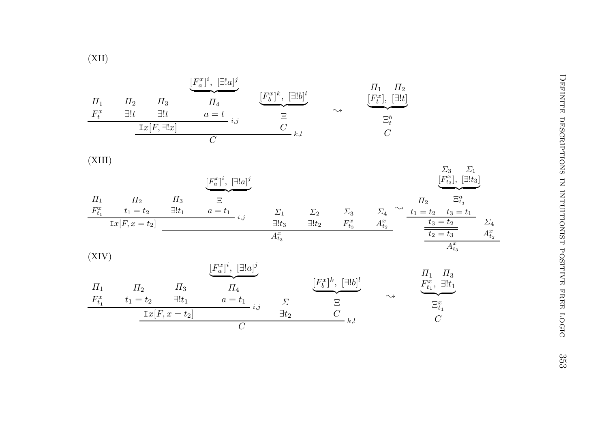(XII)

*Π*1 $F_t^x$ *Π*2 ∃!*tΠ*3 ∃!*t* <sup>I</sup>*x*[*F,* <sup>∃</sup>!*x*]  $\left[F_a^x\right]^i$ ,  $\left[\exists!a\right]^j$ *Π*4 $a = t$  *i,j*  $\left[F_b^x\right]^k$ ,  $\left[\exists!b\right]^l$  $\overbrace{\phantom{aaaaa}}^{\phantom{aaaa}}$  $\begin{array}{ccc} \frac{1}{2} & \frac{1}{2} \\ \frac{1}{2} & \frac{1}{2} \\ \frac{1}{2} & \frac{1}{2} \end{array}$  $\rightsquigarrow$  $[F_t^x], [\exists !t]$  $\Pi_1$   $\Pi_2$  $\longrightarrow$  $\Xi^b_t\atop C$ (XIII)*Π*1 $F_{t_1}^x$   $t_1 = t_2$   $\exists !t_1$ <br>  $\text{I}x[F, x = t_2]$ *Π*2*Π*3 $\left[F_a^x\right]^i$ ,  $\left[\exists!a\right]^j$  $\overline{\phantom{a}}$ Ξ $a = t_1$ <sub>*i,j*</sub> *Σ*1 $\frac{\exists !t_3}{A_{t_3}^x}$ *Σ*2 ∃!*t*2 $\frac{\sum_{3} x}{F_{t_3}^x}$  $\frac{\sum_{4} x}{A_{t_2}^x}$  $\sim$  $H_1 = t_2$  $[F_{t_3}^x], [\exists!t_3]$ *Σ*3*Σ*1 $\longrightarrow$  $\frac{E_{t_3}^a}{t_2 - t_3}$ <br>  $\frac{t_3 = t_2}{t_2 - t_3}$  $\frac{\sum_{4}^{x}}{A^{x}_{t}}$  $A_{t_3}^x$ (XIV)*Π*1 $F_{t_1}^x$ *Π*2 $t_1 = t_2$   $\exists !t_1$ <br> $\boxed{\text{Ix}[F, x = t_2]}$ *Π*3 $\left[\underbrace{F_a^x}^i\right]^i$ ,  $\left[\exists!a\right]^j$ *Π*4 $a = t_1$  *i,j Σ* $\exists t_2$  $[F_b^x]^{k}, [\exists!b]^{l}$  $\overbrace{\hspace{1.5em}}$  $\begin{array}{ccc} \frac{t_1}{t_2} & \frac{C}{t_1} & \frac{C}{c} \ C & & & \end{array}$  $\rightsquigarrow$  $F_{t_1}^x$  $\begin{array}{cc} \Pi_1 & \Pi_3 \ F^x_{t_1}, & \exists! t_1 \end{array}$ *Π*3  $\longrightarrow$  $\Xi^x_{t_1} \nonumber \ C$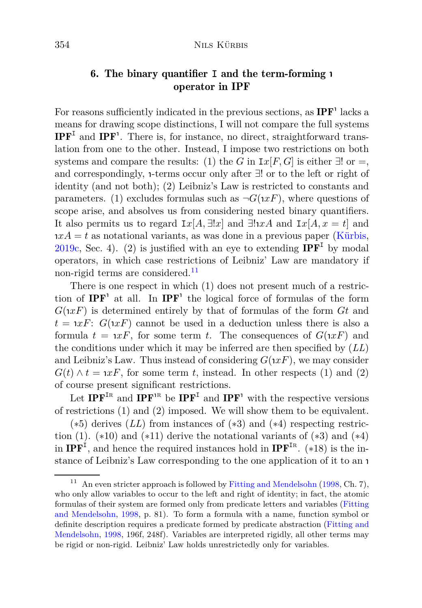## 6. The binary quantifier **I** and the term-forming <sup>ι</sup> operator in IPF

For reasons sufficiently indicated in the previous sections, as  $IPF'$  lacks a means for drawing scope distinctions, I will not compare the full systems  $IPF<sup>I</sup>$  and  $IPF<sup>1</sup>$ . There is, for instance, no direct, straightforward translation from one to the other. Instead, I impose two restrictions on both systems and compare the results: (1) the *G* in  $I\!\mathscr{X}[F,G]$  is either  $\exists!$  or  $=$ , and correspondingly, <sup>ι</sup> -terms occur only after ∃! or to the left or right of identity (and not both); (2) Leibniz's Law is restricted to constants and parameters. (1) excludes formulas such as  $\neg G(\iota x F)$ , where questions of scope arise, and absolves us from considering nested binary quantifiers. It also permits us to regard  $I x[A, \exists !x]$  and  $\exists !xA$  and  $I x[A, x = t]$  and  $nxA = t$  as notational variants, as was done in a previous paper [\(Kürbis,](#page-30-1) [2019c,](#page-30-1) Sec. 4). (2) is justified with an eye to extending  $\mathbf{IPF}^{\mathbf{I}}$  by modal operators, in which case restrictions of Leibniz' Law are mandatory if non-rigid terms are considered.<sup>[11](#page-27-0)</sup>

There is one respect in which (1) does not present much of a restriction of  $IPF'$  at all. In  $IPF'$  the logical force of formulas of the form *G*( ι *xF*) is determined entirely by that of formulas of the form *Gt* and  $t = \alpha T$ :  $G(\alpha F)$  cannot be used in a deduction unless there is also a formula  $t = \alpha r$ , for some term *t*. The consequences of  $G(\alpha r)$  and the conditions under which it may be inferred are then specified by (*LL*) and Leibniz's Law. Thus instead of considering  $G(\iota x F)$ , we may consider  $G(t) \wedge t = xF$ , for some term *t*, instead. In other respects (1) and (2) of course present significant restrictions.

Let  $\mathbf{IPF}^{\text{IR}}$  and  $\mathbf{IPF}^{\text{IR}}$  be  $\mathbf{IPF}^{\text{I}}$  and  $\mathbf{IPF}^{\text{I}}$  with the respective versions of restrictions (1) and (2) imposed. We will show them to be equivalent.

 $(*5)$  derives  $(LL)$  from instances of  $(*3)$  and  $(*4)$  respecting restriction (1).  $(*10)$  and  $(*11)$  derive the notational variants of  $(*3)$  and  $(*4)$ in  $IPF<sup>I</sup>$ , and hence the required instances hold in  $IPF<sup>IR</sup>$ . (\*18) is the instance of Leibniz's Law corresponding to the one application of it to an <sup>ι</sup>

<span id="page-27-0"></span>An even stricter approach is followed by [Fitting and Mendelsohn](#page-29-2) [\(1998](#page-29-2), Ch. 7), who only allow variables to occur to the left and right of identity; in fact, the atomic formulas of their [system are formed only from predicate letters and variables \(](#page-29-2)Fitting and Mendelsohn, [1998](#page-29-2), p. 81). To form a formula with a name, function symbol or definite des[cription requires a predicate formed by predicate abstraction \(](#page-29-2)Fitting and Mendelsohn, [1998,](#page-29-2) 196f, 248f). Variables are interpreted rigidly, all other terms may be rigid or non-rigid. Leibniz' Law holds unrestrictedly only for variables.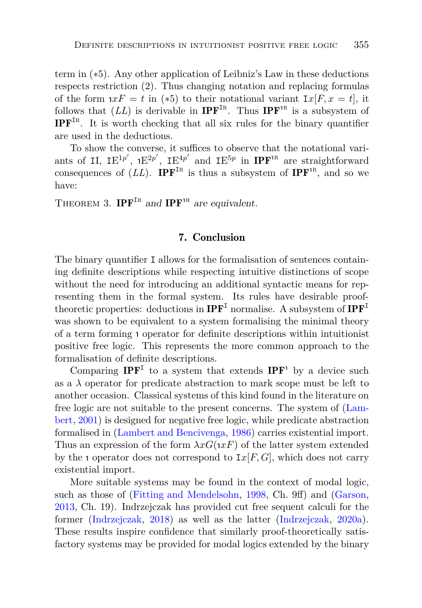term in (∗5). Any other application of Leibniz's Law in these deductions respects restriction (2). Thus changing notation and replacing formulas of the form  $xF = t$  in (\*5) to their notational variant  $I_x[F, x = t]$ , it follows that  $(LL)$  is derivable in **IPF**<sup>IR</sup>. Thus **IPF**<sup>1R</sup> is a subsystem of IPF<sup>I</sup><sup>r</sup> . It is worth checking that all six rules for the binary quantifier are used in the deductions.

To show the converse, it suffices to observe that the notational variants of II,  $IE^{1p'}$ ,  $E^{2p'}$ ,  $IE^{4p'}$  and  $IE^{5p}$  in  $IPF^{1R}$  are straightforward consequences of  $(LL)$ . **IPF**<sup>IR</sup> is thus a subsystem of **IPF**<sup>IR</sup>, and so we have:

THEOREM 3. IPF<sup>IR</sup> and IPF<sup>IR</sup> are equivalent.

#### 7. Conclusion

The binary quantifier I allows for the formalisation of sentences containing definite descriptions while respecting intuitive distinctions of scope without the need for introducing an additional syntactic means for representing them in the formal system. Its rules have desirable prooftheoretic properties: deductions in  $\mathbf{IPF}^{\mathbf{I}}$  normalise. A subsystem of  $\mathbf{IPF}^{\mathbf{I}}$ was shown to be equivalent to a system formalising the minimal theory of a term forming <sup>ι</sup> operator for definite descriptions within intuitionist positive free logic. This represents the more common approach to the formalisation of definite descriptions.

Comparing  $\mathbf{IPF}^{\text{I}}$  to a system that extends  $\mathbf{IPF}^{\text{I}}$  by a device such as a  $\lambda$  operator for predicate abstraction to mark scope must be left to another occasion. Classical systems of this kind found in the literature on free [logic are not suitable to the present concerns. The system of \(](#page-30-5)Lambert, [2001](#page-30-5)) is designed for negative free logic, while predicate abstraction formalised in [\(Lambert and Bencivenga](#page-30-6), [1986\)](#page-30-6) carries existential import. Thus an expression of the form  $\lambda xG(\mu xF)$  of the latter system extended by the *i* operator does not correspond to  $Ix[F,G]$ , which does not carry existential import.

More suitable systems may be found in the context of modal logic, such as those of [\(Fitting and Mendelsohn,](#page-29-2) [1998](#page-29-2), Ch. 9ff) and [\(Garson,](#page-29-3) [2013](#page-29-3), Ch. 19). Indrzejczak has provided cut free sequent calculi for the former [\(Indrzejczak,](#page-29-8) [2018](#page-29-8)) as well as the latter [\(Indrzejczak,](#page-30-12) [2020a](#page-30-12)). These results inspire confidence that similarly proof-theoretically satisfactory systems may be provided for modal logics extended by the binary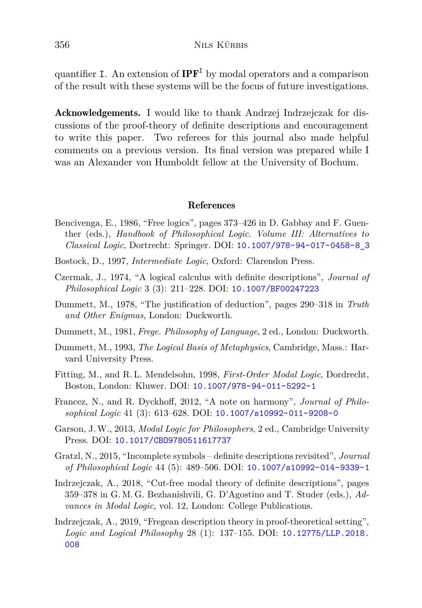quantifier I. An extension of  $IPF<sup>I</sup>$  by modal operators and a comparison of the result with these systems will be the focus of future investigations.

Acknowledgements. I would like to thank Andrzej Indrzejczak for discussions of the proof-theory of definite descriptions and encouragement to write this paper. Two referees for this journal also made helpful comments on a previous version. Its final version was prepared while I was an Alexander von Humboldt fellow at the University of Bochum.

#### References

- <span id="page-29-7"></span>Bencivenga, E., 1986, "Free logics", pages 373–426 in D. Gabbay and F. Guenther (eds.), *Handbook of Philosophical Logic. Volume III: Alternatives to Classical Logic*, Dortrecht: Springer. DOI: [10.1007/978-94-017-0458-8\\_3](https://doi.org/10.1007/978-94-017-0458-8_3)
- <span id="page-29-6"></span>Bostock, D., 1997, *Intermediate Logic*, Oxford: Clarendon Press.
- <span id="page-29-10"></span>Czermak, J., 1974, "A logical calculus with definite descriptions", *Journal of Philosophical Logic* 3 (3): 211–228. DOI: [10.1007/BF00247223](https://doi.org/10.1007/BF00247223)
- <span id="page-29-0"></span>Dummett, M., 1978, "The justification of deduction", pages 290–318 in *Truth and Other Enigmas*, London: Duckworth.
- <span id="page-29-5"></span>Dummett, M., 1981, *Frege. Philosophy of Language*, 2 ed., London: Duckworth.
- <span id="page-29-1"></span>Dummett, M., 1993, *The Logical Basis of Metaphysics*, Cambridge, Mass.: Harvard University Press.
- <span id="page-29-2"></span>Fitting, M., and R. L. Mendelsohn, 1998, *First-Order Modal Logic*, Dordrecht, Boston, London: Kluwer. DOI: [10.1007/978-94-011-5292-1](https://doi.org/10.1007/978-94-011-5292-1)
- <span id="page-29-11"></span>Francez, N., and R. Dyckhoff, 2012, "A note on harmony", *Journal of Philosophical Logic* 41 (3): 613–628. DOI: [10.1007/s10992-011-9208-0](https://doi.org/10.1007/s10992-011-9208-0)
- <span id="page-29-3"></span>Garson, J.W., 2013, *Modal Logic for Philosophers*, 2 ed., Cambridge University Press. DOI: [10.1017/CBO9780511617737](https://doi.org/10.1017/CBO9780511617737)
- <span id="page-29-4"></span>Gratzl, N., 2015, "Incomplete symbols – definite descriptions revisited", *Journal of Philosophical Logic* 44 (5): 489–506. DOI: [10.1007/s10992-014-9339-1](https://doi.org/10.1007/s10992-014-9339-1)
- <span id="page-29-8"></span>Indrzejczak, A., 2018, "Cut-free modal theory of definite descriptions", pages 359–378 in G. M. G. Bezhanishvili, G. D'Agostino and T. Studer (eds.), *Advances in Modal Logic*, vol. 12, London: College Publications.
- <span id="page-29-9"></span>Indrzejczak, A., 2019, "Fregean description theory in proof-theoretical setting", *Logic and Logical Philosophy* 28 (1): 137–155. DOI: [10.12775/LLP.2018.](https://doi.org/10.12775/LLP.2018.008) [008](https://doi.org/10.12775/LLP.2018.008)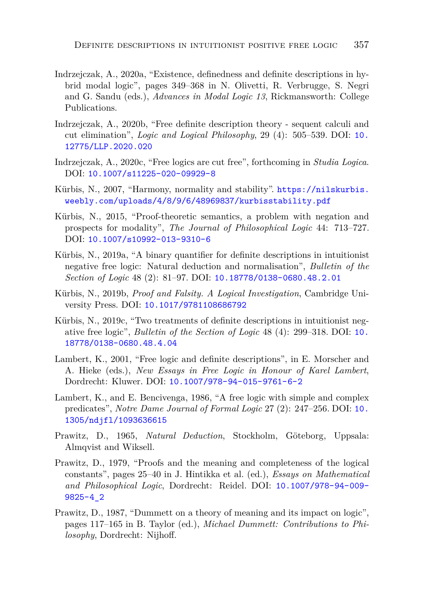- <span id="page-30-12"></span>Indrzejczak, A., 2020a, "Existence, definedness and definite descriptions in hybrid modal logic", pages 349–368 in N. Olivetti, R. Verbrugge, S. Negri and G. Sandu (eds.), *Advances in Modal Logic 13*, Rickmansworth: College Publications.
- <span id="page-30-8"></span>Indrzejczak, A., 2020b, "Free definite description theory - sequent calculi and cut elimination", *Logic and Logical Philosophy*, 29 (4): 505–539. DOI: [10.](https://doi.org/10.12775/LLP.2020.020) [12775/LLP.2020.020](https://doi.org/10.12775/LLP.2020.020)
- <span id="page-30-7"></span>Indrzejczak, A., 2020c, "Free logics are cut free", forthcoming in *Studia Logica*. DOI: [10.1007/s11225-020-09929-8](https://doi.org/10.1007/s11225-020-09929-8)
- <span id="page-30-9"></span>Kürbis, N., 2007, "Harmony, normality and stability". [https://nilskurbis.](https://nilskurbis.weebly.com/uploads/4/8/9/6/48969837/kurbisstability.pdf) [weebly.com/uploads/4/8/9/6/48969837/kurbisstability.pdf](https://nilskurbis.weebly.com/uploads/4/8/9/6/48969837/kurbisstability.pdf)
- <span id="page-30-3"></span>Kürbis, N., 2015, "Proof-theoretic semantics, a problem with negation and prospects for modality", *The Journal of Philosophical Logic* 44: 713–727. DOI: [10.1007/s10992-013-9310-6](https://doi.org/10.1007/s10992-013-9310-6)
- <span id="page-30-0"></span>Kürbis, N., 2019a, "A binary quantifier for definite descriptions in intuitionist negative free logic: Natural deduction and normalisation", *Bulletin of the Section of Logic* 48 (2): 81–97. DOI: [10.18778/0138-0680.48.2.01](https://doi.org/10.18778/0138-0680.48.2.01)
- <span id="page-30-10"></span>Kürbis, N., 2019b, *Proof and Falsity. A Logical Investigation*, Cambridge University Press. DOI: [10.1017/9781108686792](https://doi.org/10.1017/9781108686792)
- <span id="page-30-1"></span>Kürbis, N., 2019c, "Two treatments of definite descriptions in intuitionist negative free logic", *Bulletin of the Section of Logic* 48 (4): 299–318. DOI: [10.](https://doi.org/10.18778/0138-0680.48.4.04) [18778/0138-0680.48.4.04](https://doi.org/10.18778/0138-0680.48.4.04)
- <span id="page-30-5"></span>Lambert, K., 2001, "Free logic and definite descriptions", in E. Morscher and A. Hieke (eds.), *New Essays in Free Logic in Honour of Karel Lambert*, Dordrecht: Kluwer. DOI: [10.1007/978-94-015-9761-6-2](https://doi.org/10.1007/978-94-015-9761-6-2)
- <span id="page-30-6"></span>Lambert, K., and E. Bencivenga, 1986, "A free logic with simple and complex predicates", *Notre Dame Journal of Formal Logic* 27 (2): 247–256. DOI: [10.](https://doi.org/10.1305/ndjfl/1093636615) [1305/ndjfl/1093636615](https://doi.org/10.1305/ndjfl/1093636615)
- <span id="page-30-4"></span>Prawitz, D., 1965, *Natural Deduction*, Stockholm, Göteborg, Uppsala: Almqvist and Wiksell.
- <span id="page-30-11"></span>Prawitz, D., 1979, "Proofs and the meaning and completeness of the logical constants", pages 25–40 in J. Hintikka et al. (ed.), *Essays on Mathematical and Philosophical Logic*, Dordrecht: Reidel. DOI: [10.1007/978-94-009-](https://doi.org/10.1007/978-94-009-9825-4_2) [9825-4\\_2](https://doi.org/10.1007/978-94-009-9825-4_2)
- <span id="page-30-2"></span>Prawitz, D., 1987, "Dummett on a theory of meaning and its impact on logic", pages 117–165 in B. Taylor (ed.), *Michael Dummett: Contributions to Philosophy*, Dordrecht: Nijhoff.